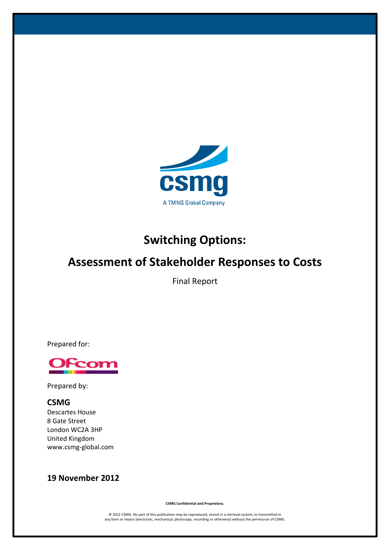

# **Switching Options:**

# **Assessment of Stakeholder Responses to Costs**

Final Report

Prepared for:



Prepared by:

# **CSMG**

Descartes House 8 Gate Street London WC2A 3HP United Kingdom www.csmg-global.com

# **19 November 2012**

**CSMG Confidential and Proprietary.**

© 2012 CSMG. No part of this publication may be reproduced, stored in a retrieval system, or transmitted in any form or means (electronic, mechanical, photocopy, recording or otherwise) without the permission of CSMG.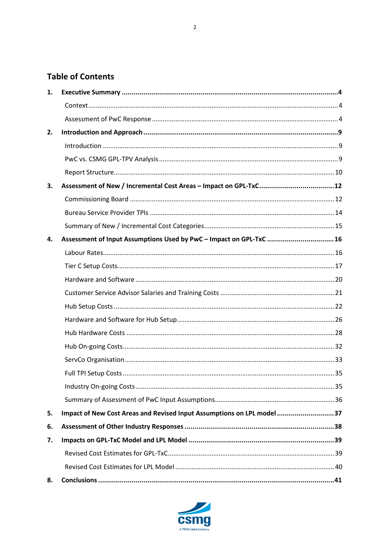# **Table of Contents**

| 1. |                                                                        |  |
|----|------------------------------------------------------------------------|--|
|    |                                                                        |  |
|    |                                                                        |  |
| 2. |                                                                        |  |
|    |                                                                        |  |
|    |                                                                        |  |
|    |                                                                        |  |
| З. |                                                                        |  |
|    |                                                                        |  |
|    |                                                                        |  |
|    |                                                                        |  |
| 4. | Assessment of Input Assumptions Used by PwC - Impact on GPL-TxC 16     |  |
|    |                                                                        |  |
|    |                                                                        |  |
|    |                                                                        |  |
|    |                                                                        |  |
|    |                                                                        |  |
|    |                                                                        |  |
|    |                                                                        |  |
|    |                                                                        |  |
|    |                                                                        |  |
|    |                                                                        |  |
|    |                                                                        |  |
|    |                                                                        |  |
| 5. | Impact of New Cost Areas and Revised Input Assumptions on LPL model 37 |  |
| 6. |                                                                        |  |
| 7. |                                                                        |  |
|    |                                                                        |  |
|    |                                                                        |  |
| 8. |                                                                        |  |

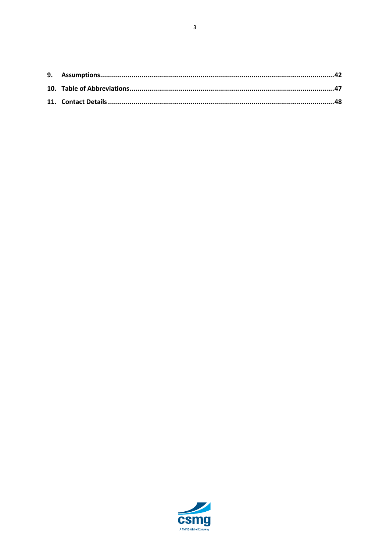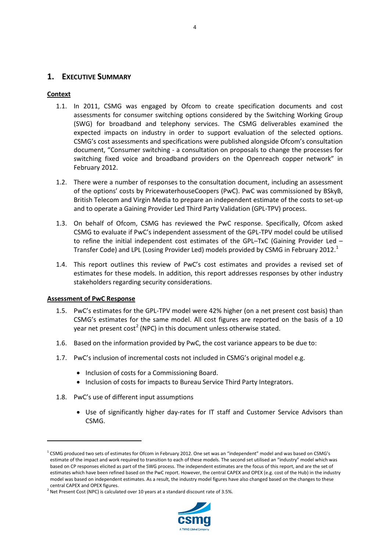# <span id="page-3-0"></span>**1. EXECUTIVE SUMMARY**

#### <span id="page-3-1"></span>**Context**

- 1.1. In 2011, CSMG was engaged by Ofcom to create specification documents and cost assessments for consumer switching options considered by the Switching Working Group (SWG) for broadband and telephony services. The CSMG deliverables examined the expected impacts on industry in order to support evaluation of the selected options. CSMG's cost assessments and specifications were published alongside Ofcom's consultation document, "Consumer switching - a consultation on proposals to change the processes for switching fixed voice and broadband providers on the Openreach copper network" in February 2012.
- 1.2. There were a number of responses to the consultation document, including an assessment of the options' costs by PricewaterhouseCoopers (PwC). PwC was commissioned by BSkyB, British Telecom and Virgin Media to prepare an independent estimate of the costs to set-up and to operate a Gaining Provider Led Third Party Validation (GPL-TPV) process.
- 1.3. On behalf of Ofcom, CSMG has reviewed the PwC response. Specifically, Ofcom asked CSMG to evaluate if PwC's independent assessment of the GPL-TPV model could be utilised to refine the initial independent cost estimates of the GPL–TxC (Gaining Provider Led – Transfer Code) and LPL (Losing Provider Led) models provided by CSMG in February 20[1](#page-3-3)2.<sup>1</sup>
- 1.4. This report outlines this review of PwC's cost estimates and provides a revised set of estimates for these models. In addition, this report addresses responses by other industry stakeholders regarding security considerations.

#### <span id="page-3-2"></span>**Assessment of PwC Response**

 $\overline{a}$ 

- 1.5. PwC's estimates for the GPL-TPV model were 42% higher (on a net present cost basis) than CSMG's estimates for the same model. All cost figures are reported on the basis of a 10 year net present  $cost^2$  $cost^2$  (NPC) in this document unless otherwise stated.
- 1.6. Based on the information provided by PwC, the cost variance appears to be due to:
- 1.7. PwC's inclusion of incremental costs not included in CSMG's original model e.g.
	- Inclusion of costs for a Commissioning Board.
	- Inclusion of costs for impacts to Bureau Service Third Party Integrators.
- 1.8. PwC's use of different input assumptions
	- Use of significantly higher day-rates for IT staff and Customer Service Advisors than CSMG.

<span id="page-3-4"></span>

<span id="page-3-3"></span> $1$  CSMG produced two sets of estimates for Ofcom in February 2012. One set was an "independent" model and was based on CSMG's estimate of the impact and work required to transition to each of these models. The second set utilised an "industry" model which was based on CP responses elicited as part of the SWG process. The independent estimates are the focus of this report, and are the set of estimates which have been refined based on the PwC report. However, the central CAPEX and OPEX (e.g. cost of the Hub) in the industry model was based on independent estimates. As a result, the industry model figures have also changed based on the changes to these central CAPEX and OPEX figures.<br><sup>2</sup> Net Present Cost (NPC) is calculated over 10 years at a standard discount rate of 3.5%.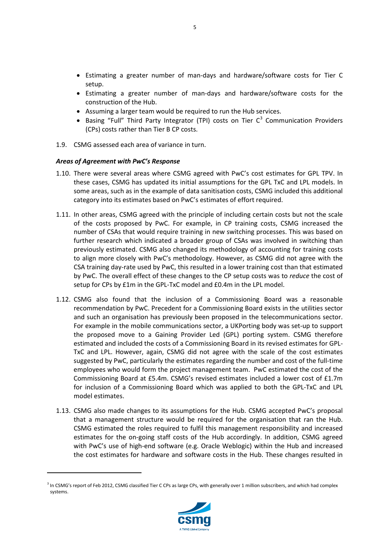- Estimating a greater number of man-days and hardware/software costs for Tier C setup.
- Estimating a greater number of man-days and hardware/software costs for the construction of the Hub.
- Assuming a larger team would be required to run the Hub services.
- Basing "Full" Third Party Integrator (TPI) costs on Tier  $C^3$  $C^3$  Communication Providers (CPs) costs rather than Tier B CP costs.
- 1.9. CSMG assessed each area of variance in turn.

# *Areas of Agreement with PwC's Response*

- 1.10. There were several areas where CSMG agreed with PwC's cost estimates for GPL TPV. In these cases, CSMG has updated its initial assumptions for the GPL TxC and LPL models. In some areas, such as in the example of data sanitisation costs, CSMG included this additional category into its estimates based on PwC's estimates of effort required.
- 1.11. In other areas, CSMG agreed with the principle of including certain costs but not the scale of the costs proposed by PwC. For example, in CP training costs, CSMG increased the number of CSAs that would require training in new switching processes. This was based on further research which indicated a broader group of CSAs was involved in switching than previously estimated. CSMG also changed its methodology of accounting for training costs to align more closely with PwC's methodology. However, as CSMG did not agree with the CSA training day-rate used by PwC, this resulted in a lower training cost than that estimated by PwC. The overall effect of these changes to the CP setup costs was to *reduce* the cost of setup for CPs by £1m in the GPL-TxC model and £0.4m in the LPL model.
- 1.12. CSMG also found that the inclusion of a Commissioning Board was a reasonable recommendation by PwC. Precedent for a Commissioning Board exists in the utilities sector and such an organisation has previously been proposed in the telecommunications sector. For example in the mobile communications sector, a UKPorting body was set-up to support the proposed move to a Gaining Provider Led (GPL) porting system. CSMG therefore estimated and included the costs of a Commissioning Board in its revised estimates for GPL-TxC and LPL. However, again, CSMG did not agree with the scale of the cost estimates suggested by PwC, particularly the estimates regarding the number and cost of the full-time employees who would form the project management team. PwC estimated the cost of the Commissioning Board at £5.4m. CSMG's revised estimates included a lower cost of £1.7m for inclusion of a Commissioning Board which was applied to both the GPL-TxC and LPL model estimates.
- 1.13. CSMG also made changes to its assumptions for the Hub. CSMG accepted PwC's proposal that a management structure would be required for the organisation that ran the Hub. CSMG estimated the roles required to fulfil this management responsibility and increased estimates for the on-going staff costs of the Hub accordingly. In addition, CSMG agreed with PwC's use of high-end software (e.g. Oracle Weblogic) within the Hub and increased the cost estimates for hardware and software costs in the Hub. These changes resulted in



<span id="page-4-0"></span><sup>&</sup>lt;sup>3</sup> In CSMG's report of Feb 2012, CSMG classified Tier C CPs as large CPs, with generally over 1 million subscribers, and which had complex systems.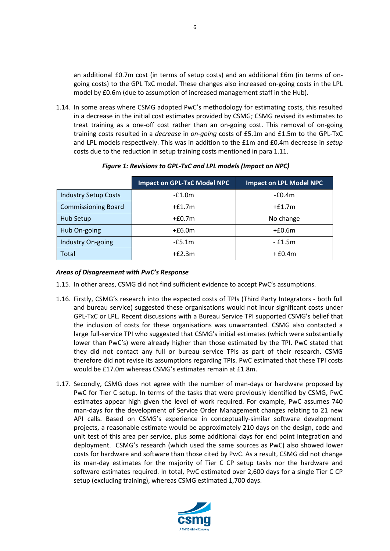an additional £0.7m cost (in terms of setup costs) and an additional £6m (in terms of ongoing costs) to the GPL TxC model. These changes also increased on-going costs in the LPL model by £0.6m (due to assumption of increased management staff in the Hub).

1.14. In some areas where CSMG adopted PwC's methodology for estimating costs, this resulted in a decrease in the initial cost estimates provided by CSMG; CSMG revised its estimates to treat training as a one-off cost rather than an on-going cost. This removal of on-going training costs resulted in a *decrease* in *on-going* costs of £5.1m and £1.5m to the GPL-TxC and LPL models respectively. This was in addition to the £1m and £0.4m decrease in *setup* costs due to the reduction in setup training costs mentioned in para 1.11.

|                             | <b>Impact on GPL-TxC Model NPC</b> | <b>Impact on LPL Model NPC</b> |
|-----------------------------|------------------------------------|--------------------------------|
| <b>Industry Setup Costs</b> | $-£1.0m$                           | $-£0.4m$                       |
| <b>Commissioning Board</b>  | $+£1.7m$                           | $+£1.7m$                       |
| Hub Setup                   | $+£0.7m$                           | No change                      |
| Hub On-going                | $+£6.0m$                           | $+£0.6m$                       |
| Industry On-going           | $-E5.1m$                           | $-£1.5m$                       |
| Total                       | $+f2.3m$                           | $+ f0.4m$                      |

# *Figure 1: Revisions to GPL-TxC and LPL models (Impact on NPC)*

# *Areas of Disagreement with PwC's Response*

- 1.15. In other areas, CSMG did not find sufficient evidence to accept PwC's assumptions.
- 1.16. Firstly, CSMG's research into the expected costs of TPIs (Third Party Integrators both full and bureau service) suggested these organisations would not incur significant costs under GPL-TxC or LPL. Recent discussions with a Bureau Service TPI supported CSMG's belief that the inclusion of costs for these organisations was unwarranted. CSMG also contacted a large full-service TPI who suggested that CSMG's initial estimates (which were substantially lower than PwC's) were already higher than those estimated by the TPI. PwC stated that they did not contact any full or bureau service TPIs as part of their research. CSMG therefore did not revise its assumptions regarding TPIs. PwC estimated that these TPI costs would be £17.0m whereas CSMG's estimates remain at £1.8m.
- 1.17. Secondly, CSMG does not agree with the number of man-days or hardware proposed by PwC for Tier C setup. In terms of the tasks that were previously identified by CSMG, PwC estimates appear high given the level of work required. For example, PwC assumes 740 man-days for the development of Service Order Management changes relating to 21 new API calls. Based on CSMG's experience in conceptually-similar software development projects, a reasonable estimate would be approximately 210 days on the design, code and unit test of this area per service, plus some additional days for end point integration and deployment. CSMG's research (which used the same sources as PwC) also showed lower costs for hardware and software than those cited by PwC. As a result, CSMG did not change its man-day estimates for the majority of Tier C CP setup tasks nor the hardware and software estimates required. In total, PwC estimated over 2,600 days for a single Tier C CP setup (excluding training), whereas CSMG estimated 1,700 days.

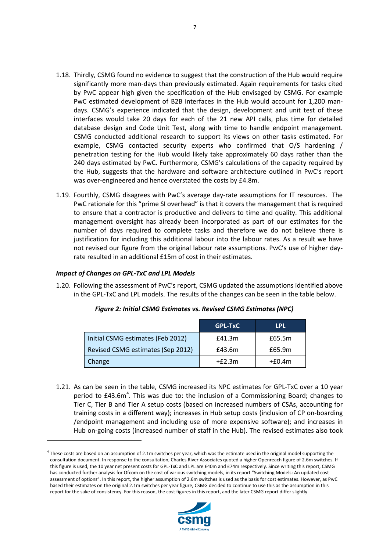- 1.18. Thirdly, CSMG found no evidence to suggest that the construction of the Hub would require significantly more man-days than previously estimated. Again requirements for tasks cited by PwC appear high given the specification of the Hub envisaged by CSMG. For example PwC estimated development of B2B interfaces in the Hub would account for 1,200 mandays. CSMG's experience indicated that the design, development and unit test of these interfaces would take 20 days for each of the 21 new API calls, plus time for detailed database design and Code Unit Test, along with time to handle endpoint management. CSMG conducted additional research to support its views on other tasks estimated. For example, CSMG contacted security experts who confirmed that O/S hardening / penetration testing for the Hub would likely take approximately 60 days rather than the 240 days estimated by PwC. Furthermore, CSMG's calculations of the capacity required by the Hub, suggests that the hardware and software architecture outlined in PwC's report was over-engineered and hence overstated the costs by £4.8m.
- 1.19. Fourthly, CSMG disagrees with PwC's average day-rate assumptions for IT resources. The PwC rationale for this "prime SI overhead" is that it covers the management that is required to ensure that a contractor is productive and delivers to time and quality. This additional management oversight has already been incorporated as part of our estimates for the number of days required to complete tasks and therefore we do not believe there is justification for including this additional labour into the labour rates. As a result we have not revised our figure from the original labour rate assumptions. PwC's use of higher dayrate resulted in an additional £15m of cost in their estimates.

# *Impact of Changes on GPL-TxC and LPL Models*

 $\overline{a}$ 

1.20. Following the assessment of PwC's report, CSMG updated the assumptions identified above in the GPL-TxC and LPL models. The results of the changes can be seen in the table below.

|                                   | <b>GPL-TxC</b> | LPL      |
|-----------------------------------|----------------|----------|
| Initial CSMG estimates (Feb 2012) | £41.3m         | £65.5m   |
| Revised CSMG estimates (Sep 2012) | £43.6m         | £65.9m   |
| Change                            | $+E2.3m$       | $+£0.4m$ |

#### *Figure 2: Initial CSMG Estimates vs. Revised CSMG Estimates (NPC)*

1.21. As can be seen in the table, CSMG increased its NPC estimates for GPL-TxC over a 10 year period to £[4](#page-6-0)3.6m<sup>4</sup>. This was due to: the inclusion of a Commissioning Board; changes to Tier C, Tier B and Tier A setup costs (based on increased numbers of CSAs, accounting for training costs in a different way); increases in Hub setup costs (inclusion of CP on-boarding /endpoint management and including use of more expensive software); and increases in Hub on-going costs (increased number of staff in the Hub). The revised estimates also took



7



<span id="page-6-0"></span> $4$  These costs are based on an assumption of 2.1m switches per year, which was the estimate used in the original model supporting the consultation document. In response to the consultation, Charles River Associates quoted a higher Openreach figure of 2.6m switches. If this figure is used, the 10 year net present costs for GPL-TxC and LPL are £40m and £74m respectively. Since writing this report, CSMG has conducted further analysis for Ofcom on the cost of various switching models, in its report "Switching Models: An updated cost assessment of options". In this report, the higher assumption of 2.6m switches is used as the basis for cost estimates. However, as PwC based their estimates on the original 2.1m switches per year figure, CSMG decided to continue to use this as the assumption in this report for the sake of consistency. For this reason, the cost figures in this report, and the later CSMG report differ slightly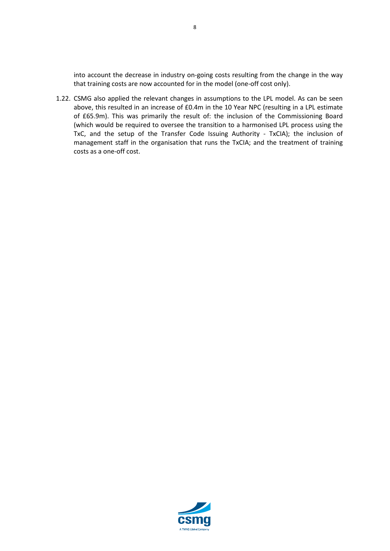into account the decrease in industry on-going costs resulting from the change in the way that training costs are now accounted for in the model (one-off cost only).

1.22. CSMG also applied the relevant changes in assumptions to the LPL model. As can be seen above, this resulted in an increase of £0.4m in the 10 Year NPC (resulting in a LPL estimate of £65.9m). This was primarily the result of: the inclusion of the Commissioning Board (which would be required to oversee the transition to a harmonised LPL process using the TxC, and the setup of the Transfer Code Issuing Authority - TxCIA); the inclusion of management staff in the organisation that runs the TxCIA; and the treatment of training costs as a one-off cost.

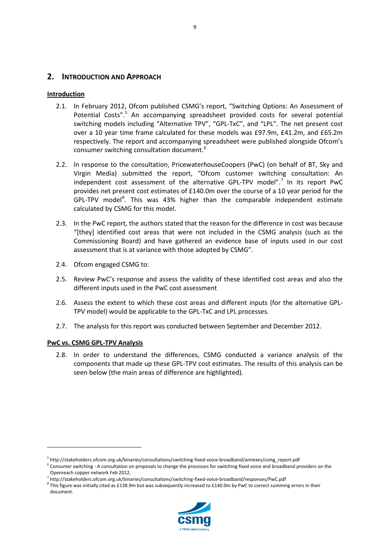# <span id="page-8-0"></span>**2. INTRODUCTION AND APPROACH**

# <span id="page-8-1"></span>**Introduction**

- 2.1. In February 2012, Ofcom published CSMG's report, "Switching Options: An Assessment of Potential Costs".<sup>[5](#page-8-3)</sup> An accompanying spreadsheet provided costs for several potential switching models including "Alternative TPV", "GPL-TxC", and "LPL". The net present cost over a 10 year time frame calculated for these models was £97.9m, £41.2m, and £65.2m respectively. The report and accompanying spreadsheet were published alongside Ofcom's consumer switching consultation document. [6](#page-8-4)
- 2.2. In response to the consultation, PricewaterhouseCoopers (PwC) (on behalf of BT, Sky and Virgin Media) submitted the report, "Ofcom customer switching consultation: An independent cost assessment of the alternative GPL-TPV model".<sup>[7](#page-8-5)</sup> In its report PwC provides net present cost estimates of £140.0m over the course of a 10 year period for the GPL-TPV model<sup>[8](#page-8-6)</sup>. This was 43% higher than the comparable independent estimate calculated by CSMG for this model.
- 2.3. In the PwC report, the authors stated that the reason for the difference in cost was because "[they] identified cost areas that were not included in the CSMG analysis (such as the Commissioning Board) and have gathered an evidence base of inputs used in our cost assessment that is at variance with those adopted by CSMG".
- 2.4. Ofcom engaged CSMG to:
- 2.5. Review PwC's response and assess the validity of these identified cost areas and also the different inputs used in the PwC cost assessment
- 2.6. Assess the extent to which these cost areas and different inputs (for the alternative GPL-TPV model) would be applicable to the GPL-TxC and LPL processes.
- 2.7. The analysis for this report was conducted between September and December 2012.

#### <span id="page-8-2"></span>**PwC vs. CSMG GPL-TPV Analysis**

**.** 

2.8. In order to understand the differences, CSMG conducted a variance analysis of the components that made up these GPL-TPV cost estimates. The results of this analysis can be seen below (the main areas of difference are highlighted).

<span id="page-8-6"></span> $8$  This figure was initially cited as £138.9m but was subsequently increased to £140.0m by PwC to correct summing errors in their document.



<span id="page-8-3"></span><sup>5</sup> http://stakeholders.ofcom.org.uk/binaries/consultations/switching-fixed-voice-broadband/annexes/csmg\_report.pdf

 $6$  Consumer switching - A consultation on proposals to change the processes for switching fixed voice and broadband providers on the

<span id="page-8-5"></span><span id="page-8-4"></span>Openreach copper network Feb 2012.<br><sup>7</sup> http://stakeholders.ofcom.org.uk/binaries/consultations/switching-fixed-voice-broadband/responses/PwC.pdf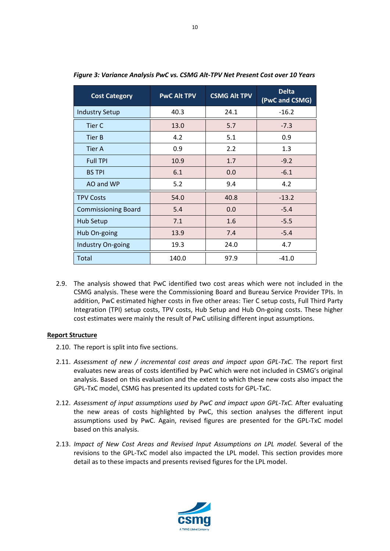| <b>Cost Category</b>       | <b>PwC Alt TPV</b> | <b>CSMG Alt TPV</b> | <b>Delta</b><br>(PwC and CSMG) |
|----------------------------|--------------------|---------------------|--------------------------------|
| <b>Industry Setup</b>      | 40.3               | 24.1                | $-16.2$                        |
| Tier C                     | 13.0               | 5.7                 | $-7.3$                         |
| <b>Tier B</b>              | 4.2                | 5.1                 | 0.9                            |
| Tier A                     | 0.9                | 2.2                 | 1.3                            |
| <b>Full TPI</b>            | 10.9               | 1.7                 | $-9.2$                         |
| <b>BS TPI</b>              | 6.1                | 0.0                 | $-6.1$                         |
| AO and WP                  | 5.2                | 9.4                 | 4.2                            |
| <b>TPV Costs</b>           | 54.0               | 40.8                | $-13.2$                        |
| <b>Commissioning Board</b> | 5.4                | 0.0                 | $-5.4$                         |
| Hub Setup                  | 7.1                | 1.6                 | $-5.5$                         |
| Hub On-going               | 13.9               | 7.4                 | $-5.4$                         |
| Industry On-going          | 19.3               | 24.0                | 4.7                            |
| Total                      | 140.0              | 97.9                | $-41.0$                        |

*Figure 3: Variance Analysis PwC vs. CSMG Alt-TPV Net Present Cost over 10 Years*

2.9. The analysis showed that PwC identified two cost areas which were not included in the CSMG analysis. These were the Commissioning Board and Bureau Service Provider TPIs. In addition, PwC estimated higher costs in five other areas: Tier C setup costs, Full Third Party Integration (TPI) setup costs, TPV costs, Hub Setup and Hub On-going costs. These higher cost estimates were mainly the result of PwC utilising different input assumptions.

#### <span id="page-9-0"></span>**Report Structure**

- 2.10. The report is split into five sections.
- 2.11. *Assessment of new / incremental cost areas and impact upon GPL-TxC*. The report first evaluates new areas of costs identified by PwC which were not included in CSMG's original analysis. Based on this evaluation and the extent to which these new costs also impact the GPL-TxC model, CSMG has presented its updated costs for GPL-TxC.
- 2.12. *Assessment of input assumptions used by PwC and impact upon GPL-TxC.* After evaluating the new areas of costs highlighted by PwC, this section analyses the different input assumptions used by PwC. Again, revised figures are presented for the GPL-TxC model based on this analysis.
- 2.13. *Impact of New Cost Areas and Revised Input Assumptions on LPL model.* Several of the revisions to the GPL-TxC model also impacted the LPL model. This section provides more detail as to these impacts and presents revised figures for the LPL model.

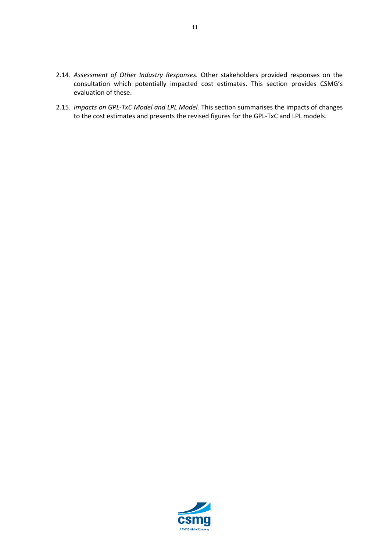- 2.14. *Assessment of Other Industry Responses.* Other stakeholders provided responses on the consultation which potentially impacted cost estimates. This section provides CSMG's evaluation of these.
- 2.15. *Impacts on GPL-TxC Model and LPL Model.* This section summarises the impacts of changes to the cost estimates and presents the revised figures for the GPL-TxC and LPL models.

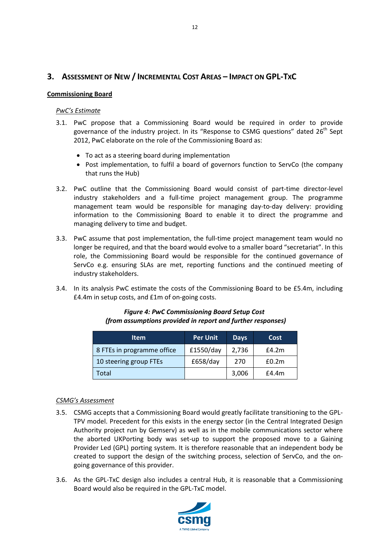# <span id="page-11-0"></span>**3. ASSESSMENT OF NEW / INCREMENTAL COST AREAS – IMPACT ON GPL-TXC**

#### <span id="page-11-1"></span>**Commissioning Board**

#### *PwC's Estimate*

- 3.1. PwC propose that a Commissioning Board would be required in order to provide governance of the industry project. In its "Response to CSMG questions" dated  $26<sup>th</sup>$  Sept 2012, PwC elaborate on the role of the Commissioning Board as:
	- To act as a steering board during implementation
	- Post implementation, to fulfil a board of governors function to ServCo (the company that runs the Hub)
- 3.2. PwC outline that the Commissioning Board would consist of part-time director-level industry stakeholders and a full-time project management group. The programme management team would be responsible for managing day-to-day delivery: providing information to the Commissioning Board to enable it to direct the programme and managing delivery to time and budget.
- 3.3. PwC assume that post implementation, the full-time project management team would no longer be required, and that the board would evolve to a smaller board "secretariat". In this role, the Commissioning Board would be responsible for the continued governance of ServCo e.g. ensuring SLAs are met, reporting functions and the continued meeting of industry stakeholders.
- 3.4. In its analysis PwC estimate the costs of the Commissioning Board to be £5.4m, including £4.4m in setup costs, and £1m of on-going costs.

| <b>Item</b>                | <b>Per Unit</b> | <b>Days</b> | Cost  |
|----------------------------|-----------------|-------------|-------|
| 8 FTEs in programme office | £1550/day       | 2,736       | E4.2m |
| 10 steering group FTEs     | £658/day        | 270         | £0.2m |
| Total                      |                 | 3,006       | E4.4m |

#### *Figure 4: PwC Commissioning Board Setup Cost (from assumptions provided in report and further responses)*

#### *CSMG's Assessment*

- 3.5. CSMG accepts that a Commissioning Board would greatly facilitate transitioning to the GPL-TPV model. Precedent for this exists in the energy sector (in the Central Integrated Design Authority project run by Gemserv) as well as in the mobile communications sector where the aborted UKPorting body was set-up to support the proposed move to a Gaining Provider Led (GPL) porting system. It is therefore reasonable that an independent body be created to support the design of the switching process, selection of ServCo, and the ongoing governance of this provider.
- 3.6. As the GPL-TxC design also includes a central Hub, it is reasonable that a Commissioning Board would also be required in the GPL-TxC model.



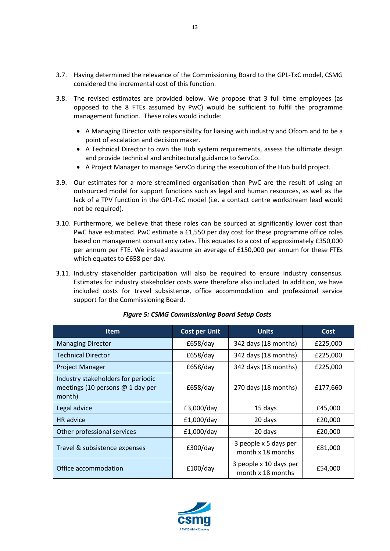- 3.7. Having determined the relevance of the Commissioning Board to the GPL-TxC model, CSMG considered the incremental cost of this function.
- 3.8. The revised estimates are provided below. We propose that 3 full time employees (as opposed to the 8 FTEs assumed by PwC) would be sufficient to fulfil the programme management function. These roles would include:
	- A Managing Director with responsibility for liaising with industry and Ofcom and to be a point of escalation and decision maker.
	- A Technical Director to own the Hub system requirements, assess the ultimate design and provide technical and architectural guidance to ServCo.
	- A Project Manager to manage ServCo during the execution of the Hub build project.
- 3.9. Our estimates for a more streamlined organisation than PwC are the result of using an outsourced model for support functions such as legal and human resources, as well as the lack of a TPV function in the GPL-TxC model (i.e. a contact centre workstream lead would not be required).
- 3.10. Furthermore, we believe that these roles can be sourced at significantly lower cost than PwC have estimated. PwC estimate a £1,550 per day cost for these programme office roles based on management consultancy rates. This equates to a cost of approximately £350,000 per annum per FTE. We instead assume an average of £150,000 per annum for these FTEs which equates to £658 per day.
- 3.11. Industry stakeholder participation will also be required to ensure industry consensus. Estimates for industry stakeholder costs were therefore also included. In addition, we have included costs for travel subsistence, office accommodation and professional service support for the Commissioning Board.

| <b>Item</b>                                                                        | <b>Cost per Unit</b>             | <b>Units</b>                                | Cost     |
|------------------------------------------------------------------------------------|----------------------------------|---------------------------------------------|----------|
| <b>Managing Director</b>                                                           | £658/day                         | 342 days (18 months)                        | £225,000 |
| <b>Technical Director</b>                                                          | £658/day                         | 342 days (18 months)                        | £225,000 |
| <b>Project Manager</b>                                                             | £658/day                         | 342 days (18 months)                        | £225,000 |
| Industry stakeholders for periodic<br>meetings (10 persons $@$ 1 day per<br>month) | 270 days (18 months)<br>£658/day |                                             | £177,660 |
| Legal advice                                                                       | £3,000/day                       | 15 days                                     | £45,000  |
| <b>HR</b> advice                                                                   | £1,000/day                       | 20 days                                     | £20,000  |
| Other professional services                                                        | £1,000/day                       | 20 days                                     | £20,000  |
| Travel & subsistence expenses                                                      | £300/day                         | 3 people x 5 days per<br>month x 18 months  | £81,000  |
| Office accommodation                                                               | £100/day                         | 3 people x 10 days per<br>month x 18 months | £54,000  |

#### *Figure 5: CSMG Commissioning Board Setup Costs*

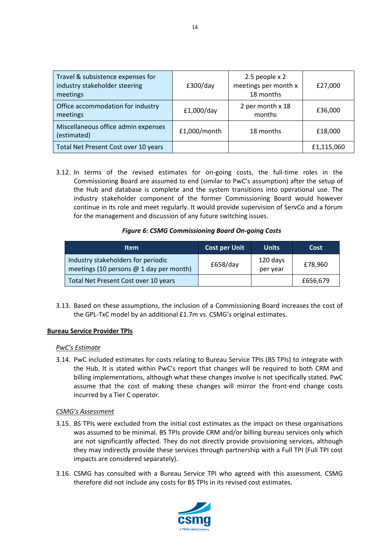| Travel & subsistence expenses for<br>industry stakeholder steering<br>meetings | E300/day     | 2.5 people x 2<br>meetings per month x<br>18 months | £27,000    |
|--------------------------------------------------------------------------------|--------------|-----------------------------------------------------|------------|
| Office accommodation for industry<br>meetings                                  | £1,000/day   | 2 per month x 18<br>months                          | £36,000    |
| Miscellaneous office admin expenses<br>(estimated)                             | £1,000/month | 18 months                                           | £18,000    |
| Total Net Present Cost over 10 years                                           |              |                                                     | £1,115,060 |

3.12. In terms of the revised estimates for on-going costs, the full-time roles in the Commissioning Board are assumed to end (similar to PwC's assumption) after the setup of the Hub and database is complete and the system transitions into operational use. The industry stakeholder component of the former Commissioning Board would however continue in its role and meet regularly. It would provide supervision of ServCo and a forum for the management and discussion of any future switching issues.

# *Figure 6: CSMG Commissioning Board On-going Costs*

| ltem                                                                          | <b>Cost per Unit</b> | <b>Units</b>         | Cost     |
|-------------------------------------------------------------------------------|----------------------|----------------------|----------|
| Industry stakeholders for periodic<br>meetings (10 persons @ 1 day per month) | £658/day             | 120 days<br>per year | £78,960  |
| Total Net Present Cost over 10 years                                          |                      |                      | £656,679 |

3.13. Based on these assumptions, the inclusion of a Commissioning Board increases the cost of the GPL-TxC model by an additional £1.7m vs. CSMG's original estimates.

#### <span id="page-13-0"></span>**Bureau Service Provider TPIs**

#### *PwC's Estimate*

3.14. PwC included estimates for costs relating to Bureau Service TPIs (BS TPIs) to integrate with the Hub. It is stated within PwC's report that changes will be required to both CRM and billing implementations, although what these changes involve is not specifically stated. PwC assume that the cost of making these changes will mirror the front-end change costs incurred by a Tier C operator.

#### *CSMG's Assessment*

- 3.15. BS TPIs were excluded from the initial cost estimates as the impact on these organisations was assumed to be minimal. BS TPIs provide CRM and/or billing bureau services only which are not significantly affected. They do not directly provide provisioning services, although they may indirectly provide these services through partnership with a Full TPI (Full TPI cost impacts are considered separately).
- 3.16. CSMG has consulted with a Bureau Service TPI who agreed with this assessment. CSMG therefore did not include any costs for BS TPIs in its revised cost estimates.

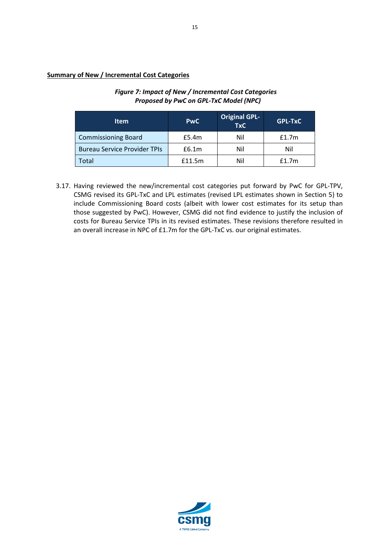# <span id="page-14-0"></span>**Summary of New / Incremental Cost Categories**

# *Figure 7: Impact of New / Incremental Cost Categories Proposed by PwC on GPL-TxC Model (NPC)*

| <b>Item</b>                         | <b>PwC</b> | <b>Original GPL-</b><br><b>TxC</b> | <b>GPL-TxC</b> |
|-------------------------------------|------------|------------------------------------|----------------|
| <b>Commissioning Board</b>          | £5.4m      | Nil                                | f1.7m          |
| <b>Bureau Service Provider TPIs</b> | £6.1m      | Nil                                | Nil            |
| Total                               | £11.5m     | Nil                                | f1.7m          |

3.17. Having reviewed the new/incremental cost categories put forward by PwC for GPL-TPV, CSMG revised its GPL-TxC and LPL estimates (revised LPL estimates shown in Section 5) to include Commissioning Board costs (albeit with lower cost estimates for its setup than those suggested by PwC). However, CSMG did not find evidence to justify the inclusion of costs for Bureau Service TPIs in its revised estimates. These revisions therefore resulted in an overall increase in NPC of £1.7m for the GPL-TxC vs. our original estimates.

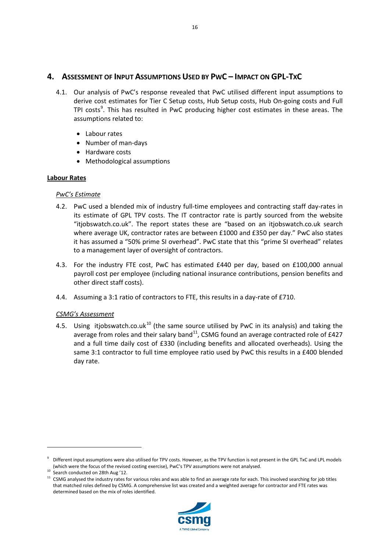# <span id="page-15-0"></span>**4. ASSESSMENT OF INPUT ASSUMPTIONS USED BY PWC – IMPACT ON GPL-TXC**

- 4.1. Our analysis of PwC's response revealed that PwC utilised different input assumptions to derive cost estimates for Tier C Setup costs, Hub Setup costs, Hub On-going costs and Full TPI costs<sup>[9](#page-15-2)</sup>. This has resulted in PwC producing higher cost estimates in these areas. The assumptions related to:
	- Labour rates
	- Number of man-days
	- Hardware costs
	- Methodological assumptions

# <span id="page-15-1"></span>**Labour Rates**

# *PwC's Estimate*

- 4.2. PwC used a blended mix of industry full-time employees and contracting staff day-rates in its estimate of GPL TPV costs. The IT contractor rate is partly sourced from the website "itjobswatch.co.uk". The report states these are "based on an itjobswatch.co.uk search where average UK, contractor rates are between £1000 and £350 per day." PwC also states it has assumed a "50% prime SI overhead". PwC state that this "prime SI overhead" relates to a management layer of oversight of contractors.
- 4.3. For the industry FTE cost, PwC has estimated £440 per day, based on £100,000 annual payroll cost per employee (including national insurance contributions, pension benefits and other direct staff costs).
- 4.4. Assuming a 3:1 ratio of contractors to FTE, this results in a day-rate of £710.

# *CSMG's Assessment*

4.5. Using itjobswatch.co.uk<sup>[10](#page-15-3)</sup> (the same source utilised by PwC in its analysis) and taking the average from roles and their salary band<sup>11</sup>, CSMG found an average contracted role of £427 and a full time daily cost of £330 (including benefits and allocated overheads). Using the same 3:1 contractor to full time employee ratio used by PwC this results in a £400 blended day rate.

<span id="page-15-4"></span><span id="page-15-3"></span><sup>&</sup>lt;sup>11</sup> CSMG analysed the industry rates for various roles and was able to find an average rate for each. This involved searching for job titles that matched roles defined by CSMG. A comprehensive list was created and a weighted average for contractor and FTE rates was determined based on the mix of roles identified.



<span id="page-15-2"></span><sup>9</sup> Different input assumptions were also utilised for TPV costs. However, as the TPV function is not present in the GPL TxC and LPL models (which were the focus of the revised costing exercise), PwC's TPV assumptions were not analysed.  $^{10}$  Search conducted on 28th Aug '12.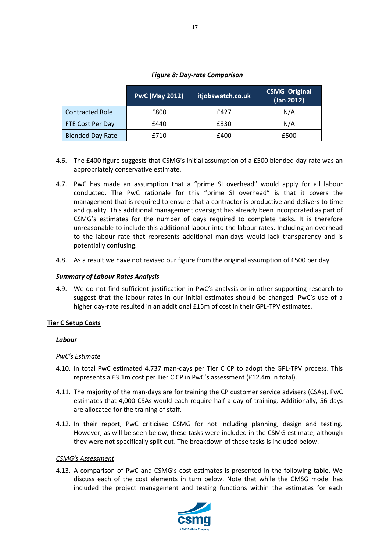| <b>PwC (May 2012)</b> | itjobswatch.co.uk | <b>CSMG Original</b><br>(Jan 2012) |
|-----------------------|-------------------|------------------------------------|
|                       |                   |                                    |

Contracted Role £800 £427 N/A FTE Cost Per Day £440 £330 N/A Blended Day Rate  $\begin{array}{|c|c|c|c|c|c|c|c|c|} \hline \end{array}$  E500  $\begin{array}{|c|c|c|c|c|c|c|c|c|} \hline \end{array}$  E500

#### *Figure 8: Day-rate Comparison*

- 4.6. The £400 figure suggests that CSMG's initial assumption of a £500 blended-day-rate was an appropriately conservative estimate.
- 4.7. PwC has made an assumption that a "prime SI overhead" would apply for all labour conducted. The PwC rationale for this "prime SI overhead" is that it covers the management that is required to ensure that a contractor is productive and delivers to time and quality. This additional management oversight has already been incorporated as part of CSMG's estimates for the number of days required to complete tasks. It is therefore unreasonable to include this additional labour into the labour rates. Including an overhead to the labour rate that represents additional man-days would lack transparency and is potentially confusing.
- 4.8. As a result we have not revised our figure from the original assumption of £500 per day.

#### *Summary of Labour Rates Analysis*

4.9. We do not find sufficient justification in PwC's analysis or in other supporting research to suggest that the labour rates in our initial estimates should be changed. PwC's use of a higher day-rate resulted in an additional £15m of cost in their GPL-TPV estimates.

# <span id="page-16-0"></span>**Tier C Setup Costs**

#### *Labour*

#### *PwC's Estimate*

- 4.10. In total PwC estimated 4,737 man-days per Tier C CP to adopt the GPL-TPV process. This represents a £3.1m cost per Tier C CP in PwC's assessment (£12.4m in total).
- 4.11. The majority of the man-days are for training the CP customer service advisers (CSAs). PwC estimates that 4,000 CSAs would each require half a day of training. Additionally, 56 days are allocated for the training of staff.
- 4.12. In their report, PwC criticised CSMG for not including planning, design and testing. However, as will be seen below, these tasks were included in the CSMG estimate, although they were not specifically split out. The breakdown of these tasks is included below.

#### *CSMG's Assessment*

4.13. A comparison of PwC and CSMG's cost estimates is presented in the following table. We discuss each of the cost elements in turn below. Note that while the CMSG model has included the project management and testing functions within the estimates for each



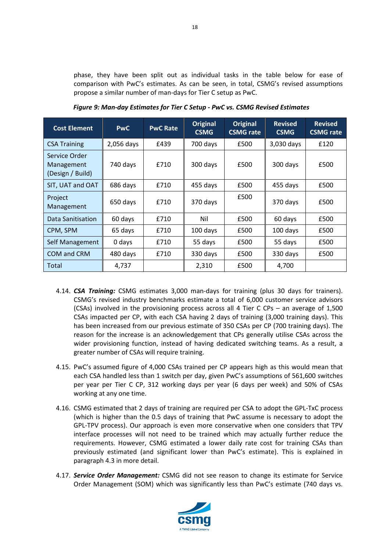phase, they have been split out as individual tasks in the table below for ease of comparison with PwC's estimates. As can be seen, in total, CSMG's revised assumptions propose a similar number of man-days for Tier C setup as PwC.

| <b>Cost Element</b>                             | <b>PwC</b> | <b>PwC Rate</b> | Original<br><b>CSMG</b> | <b>Original</b><br><b>CSMG</b> rate | <b>Revised</b><br><b>CSMG</b> | <b>Revised</b><br><b>CSMG</b> rate |
|-------------------------------------------------|------------|-----------------|-------------------------|-------------------------------------|-------------------------------|------------------------------------|
| <b>CSA Training</b>                             | 2,056 days | £439            | 700 days                | £500                                | 3,030 days                    | £120                               |
| Service Order<br>Management<br>(Design / Build) | 740 days   | £710            | 300 days                | £500                                | 300 days                      | £500                               |
| SIT, UAT and OAT                                | 686 days   | £710            | 455 days                | £500                                | 455 days                      | £500                               |
| Project<br>Management                           | 650 days   | £710            | 370 days                | £500                                | 370 days                      | £500                               |
| Data Sanitisation                               | 60 days    | £710            | Nil                     | £500                                | 60 days                       | £500                               |
| CPM, SPM                                        | 65 days    | £710            | 100 days                | £500                                | 100 days                      | £500                               |
| Self Management                                 | 0 days     | £710            | 55 days                 | £500                                | 55 days                       | £500                               |
| COM and CRM                                     | 480 days   | £710            | 330 days                | £500                                | 330 days                      | £500                               |
| Total                                           | 4,737      |                 | 2,310                   | £500                                | 4,700                         |                                    |

*Figure 9: Man-day Estimates for Tier C Setup - PwC vs. CSMG Revised Estimates*

- 4.14. *CSA Training:* CSMG estimates 3,000 man-days for training (plus 30 days for trainers). CSMG's revised industry benchmarks estimate a total of 6,000 customer service advisors (CSAs) involved in the provisioning process across all 4 Tier C CPs – an average of 1,500 CSAs impacted per CP, with each CSA having 2 days of training (3,000 training days). This has been increased from our previous estimate of 350 CSAs per CP (700 training days). The reason for the increase is an acknowledgement that CPs generally utilise CSAs across the wider provisioning function, instead of having dedicated switching teams. As a result, a greater number of CSAs will require training.
- 4.15. PwC's assumed figure of 4,000 CSAs trained per CP appears high as this would mean that each CSA handled less than 1 switch per day, given PwC's assumptions of 561,600 switches per year per Tier C CP, 312 working days per year (6 days per week) and 50% of CSAs working at any one time.
- 4.16. CSMG estimated that 2 days of training are required per CSA to adopt the GPL-TxC process (which is higher than the 0.5 days of training that PwC assume is necessary to adopt the GPL-TPV process). Our approach is even more conservative when one considers that TPV interface processes will not need to be trained which may actually further reduce the requirements. However, CSMG estimated a lower daily rate cost for training CSAs than previously estimated (and significant lower than PwC's estimate). This is explained in paragraph 4.3 in more detail.
- 4.17. *Service Order Management:* CSMG did not see reason to change its estimate for Service Order Management (SOM) which was significantly less than PwC's estimate (740 days vs.



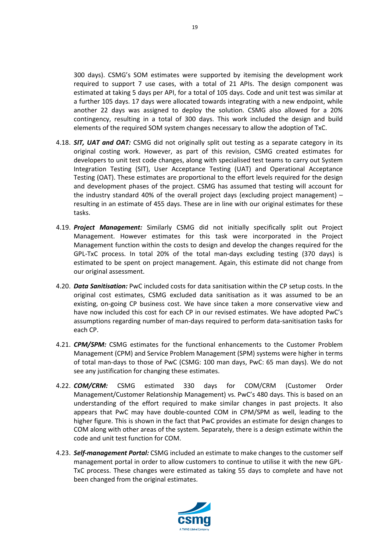300 days). CSMG's SOM estimates were supported by itemising the development work required to support 7 use cases, with a total of 21 APIs. The design component was estimated at taking 5 days per API, for a total of 105 days. Code and unit test was similar at a further 105 days. 17 days were allocated towards integrating with a new endpoint, while another 22 days was assigned to deploy the solution. CSMG also allowed for a 20% contingency, resulting in a total of 300 days. This work included the design and build elements of the required SOM system changes necessary to allow the adoption of TxC.

- 4.18. *SIT, UAT and OAT:* CSMG did not originally split out testing as a separate category in its original costing work. However, as part of this revision, CSMG created estimates for developers to unit test code changes, along with specialised test teams to carry out System Integration Testing (SIT), User Acceptance Testing (UAT) and Operational Acceptance Testing (OAT). These estimates are proportional to the effort levels required for the design and development phases of the project. CSMG has assumed that testing will account for the industry standard 40% of the overall project days (excluding project management) – resulting in an estimate of 455 days. These are in line with our original estimates for these tasks.
- 4.19. *Project Management:* Similarly CSMG did not initially specifically split out Project Management. However estimates for this task were incorporated in the Project Management function within the costs to design and develop the changes required for the GPL-TxC process. In total 20% of the total man-days excluding testing (370 days) is estimated to be spent on project management. Again, this estimate did not change from our original assessment.
- 4.20. *Data Sanitisation:* PwC included costs for data sanitisation within the CP setup costs. In the original cost estimates, CSMG excluded data sanitisation as it was assumed to be an existing, on-going CP business cost. We have since taken a more conservative view and have now included this cost for each CP in our revised estimates. We have adopted PwC's assumptions regarding number of man-days required to perform data-sanitisation tasks for each CP.
- 4.21. *CPM/SPM:* CSMG estimates for the functional enhancements to the Customer Problem Management (CPM) and Service Problem Management (SPM) systems were higher in terms of total man-days to those of PwC (CSMG: 100 man days, PwC: 65 man days). We do not see any justification for changing these estimates.
- 4.22. *COM/CRM:* CSMG estimated 330 days for COM/CRM (Customer Order Management/Customer Relationship Management) vs. PwC's 480 days. This is based on an understanding of the effort required to make similar changes in past projects. It also appears that PwC may have double-counted COM in CPM/SPM as well, leading to the higher figure. This is shown in the fact that PwC provides an estimate for design changes to COM along with other areas of the system. Separately, there is a design estimate within the code and unit test function for COM.
- 4.23. *Self-management Portal:* CSMG included an estimate to make changes to the customer self management portal in order to allow customers to continue to utilise it with the new GPL-TxC process. These changes were estimated as taking 55 days to complete and have not been changed from the original estimates.

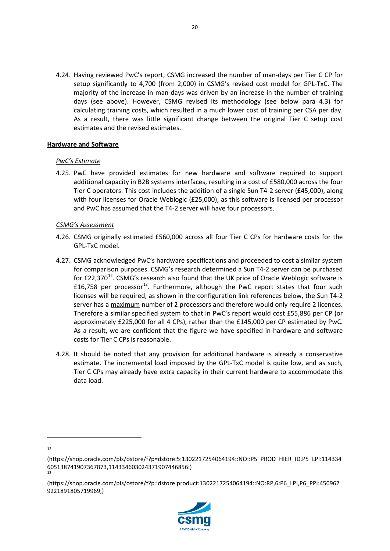4.24. Having reviewed PwC's report, CSMG increased the number of man-days per Tier C CP for setup significantly to 4,700 (from 2,000) in CSMG's revised cost model for GPL-TxC. The majority of the increase in man-days was driven by an increase in the number of training days (see above). However, CSMG revised its methodology (see below para 4.3) for calculating training costs, which resulted in a much lower cost of training per CSA per day. As a result, there was little significant change between the original Tier C setup cost estimates and the revised estimates.

#### <span id="page-19-0"></span>**Hardware and Software**

# *PwC's Estimate*

4.25. PwC have provided estimates for new hardware and software required to support additional capacity in B2B systems interfaces, resulting in a cost of £580,000 across the four Tier C operators. This cost includes the addition of a single Sun T4-2 server (£45,000), along with four licenses for Oracle Weblogic (£25,000), as this software is licensed per processor and PwC has assumed that the T4-2 server will have four processors.

# *CSMG's Assessment*

- 4.26. CSMG originally estimated £560,000 across all four Tier C CPs for hardware costs for the GPL-TxC model.
- 4.27. CSMG acknowledged PwC's hardware specifications and proceeded to cost a similar system for comparison purposes. CSMG's research determined a Sun T4-2 server can be purchased for  $E22,370^{12}$  $E22,370^{12}$  $E22,370^{12}$ . CSMG's research also found that the UK price of Oracle Weblogic software is £16,758 per processor<sup>13</sup>. Furthermore, although the PwC report states that four such licenses will be required, as shown in the configuration link references below, the Sun T4-2 server has a maximum number of 2 processors and therefore would only require 2 licences. Therefore a similar specified system to that in PwC's report would cost £55,886 per CP (or approximately £225,000 for all 4 CPs), rather than the £145,000 per CP estimated by PwC. As a result, we are confident that the figure we have specified in hardware and software costs for Tier C CPs is reasonable.
- 4.28. It should be noted that any provision for additional hardware is already a conservative estimate. The incremental load imposed by the GPL-TxC model is quite low, and as such, Tier C CPs may already have extra capacity in their current hardware to accommodate this data load.

<span id="page-19-2"></span><sup>(</sup>https://shop.oracle.com/pls/ostore/f?p=dstore:product:1302217254064194::NO:RP,6:P6\_LPI,P6\_PPI:450962 9221891805719969,)



<span id="page-19-1"></span><sup>(</sup>https://shop.oracle.com/pls/ostore/f?p=dstore:5:1302217254064194::NO::P5\_PROD\_HIER\_ID,P5\_LPI:114334 605138741907367873,114334603024371907446856:) 13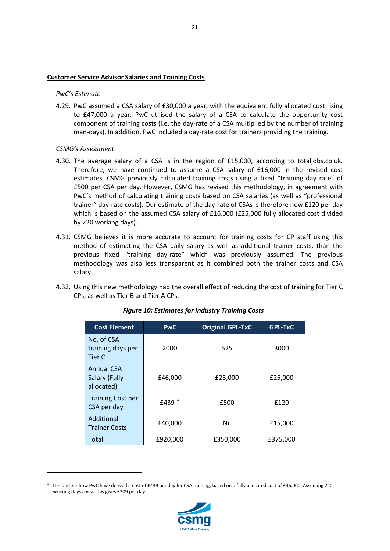#### <span id="page-20-0"></span>**Customer Service Advisor Salaries and Training Costs**

#### *PwC's Estimate*

4.29. PwC assumed a CSA salary of £30,000 a year, with the equivalent fully allocated cost rising to £47,000 a year. PwC utilised the salary of a CSA to calculate the opportunity cost component of training costs (i.e. the day-rate of a CSA multiplied by the number of training man-days). In addition, PwC included a day-rate cost for trainers providing the training.

#### *CSMG's Assessment*

**.** 

- 4.30. The average salary of a CSA is in the region of £15,000, according to totaljobs.co.uk. Therefore, we have continued to assume a CSA salary of £16,000 in the revised cost estimates. CSMG previously calculated training costs using a fixed "training day rate" of £500 per CSA per day. However, CSMG has revised this methodology, in agreement with PwC's method of calculating training costs based on CSA salaries (as well as "professional trainer" day-rate costs). Our estimate of the day-rate of CSAs is therefore now £120 per day which is based on the assumed CSA salary of £16,000 (£25,000 fully allocated cost divided by 220 working days).
- 4.31. CSMG believes it is more accurate to account for training costs for CP staff using this method of estimating the CSA daily salary as well as additional trainer costs, than the previous fixed "training day-rate" which was previously assumed. The previous methodology was also less transparent as it combined both the trainer costs and CSA salary.
- 4.32. Using this new methodology had the overall effect of reducing the cost of training for Tier C CPs, as well as Tier B and Tier A CPs.

| <b>Cost Element</b>                              | <b>Original GPL-TxC</b><br><b>PwC</b> |          | <b>GPL-TxC</b> |
|--------------------------------------------------|---------------------------------------|----------|----------------|
| No. of CSA<br>training days per<br>Tier C        | 2000                                  | 525      | 3000           |
| <b>Annual CSA</b><br>Salary (Fully<br>allocated) | £46,000                               | £25,000  | £25,000        |
| <b>Training Cost per</b><br>CSA per day          | £439 <sup>14</sup>                    | £500     | £120           |
| Additional<br><b>Trainer Costs</b>               | £40,000                               | Nil      | £15,000        |
| Total                                            | £920,000                              | £350,000 | £375,000       |

#### *Figure 10: Estimates for Industry Training Costs*



<span id="page-20-1"></span><sup>&</sup>lt;sup>14</sup> It is unclear how PwC have derived a cost of £439 per day for CSA training, based on a fully allocated cost of £46,000. Assuming 220 working days a year this gives £209 per day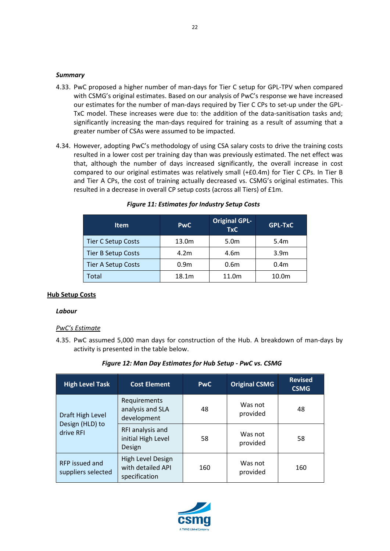#### *Summary*

- 4.33. PwC proposed a higher number of man-days for Tier C setup for GPL-TPV when compared with CSMG's original estimates. Based on our analysis of PwC's response we have increased our estimates for the number of man-days required by Tier C CPs to set-up under the GPL-TxC model. These increases were due to: the addition of the data-sanitisation tasks and; significantly increasing the man-days required for training as a result of assuming that a greater number of CSAs were assumed to be impacted.
- 4.34. However, adopting PwC's methodology of using CSA salary costs to drive the training costs resulted in a lower cost per training day than was previously estimated. The net effect was that, although the number of days increased significantly, the overall increase in cost compared to our original estimates was relatively small (+£0.4m) for Tier C CPs. In Tier B and Tier A CPs, the cost of training actually decreased vs. CSMG's original estimates. This resulted in a decrease in overall CP setup costs (across all Tiers) of £1m.

| <b>Item</b>        | <b>PwC</b>        | <b>Original GPL-</b><br><b>TxC</b> | <b>GPL-TxC</b>    |
|--------------------|-------------------|------------------------------------|-------------------|
| Tier C Setup Costs | 13.0 <sub>m</sub> | 5.0m                               | 5.4m              |
| Tier B Setup Costs | 4.2 <sub>m</sub>  | 4.6m                               | 3.9 <sub>m</sub>  |
| Tier A Setup Costs | 0.9 <sub>m</sub>  | 0.6 <sub>m</sub>                   | 0.4 <sub>m</sub>  |
| Total              | 18.1m             | 11.0m                              | 10.0 <sub>m</sub> |

#### *Figure 11: Estimates for Industry Setup Costs*

#### <span id="page-21-0"></span>**Hub Setup Costs**

#### *Labour*

#### *PwC's Estimate*

4.35. PwC assumed 5,000 man days for construction of the Hub. A breakdown of man-days by activity is presented in the table below.

#### *Figure 12: Man Day Estimates for Hub Setup - PwC vs. CSMG*

| <b>High Level Task</b>               | <b>Cost Element</b>                                     | <b>PwC</b> | <b>Original CSMG</b> | <b>Revised</b><br><b>CSMG</b> |
|--------------------------------------|---------------------------------------------------------|------------|----------------------|-------------------------------|
| Draft High Level                     | Requirements<br>analysis and SLA<br>48<br>development   |            | Was not<br>provided  | 48                            |
| Design (HLD) to<br>drive RFI         | RFI analysis and<br>initial High Level<br>Design        | 58         | Was not<br>provided  | 58                            |
| RFP issued and<br>suppliers selected | High Level Design<br>with detailed API<br>specification | 160        | Was not<br>provided  | 160                           |

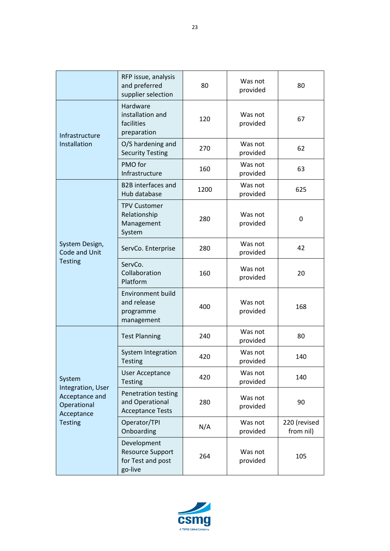|                                                                                    | RFP issue, analysis<br>and preferred<br>supplier selection             | 80   | Was not<br>provided | 80                        |
|------------------------------------------------------------------------------------|------------------------------------------------------------------------|------|---------------------|---------------------------|
| Infrastructure                                                                     | Hardware<br>installation and<br>facilities<br>preparation              | 120  | Was not<br>provided | 67                        |
| Installation                                                                       | O/S hardening and<br><b>Security Testing</b>                           | 270  | Was not<br>provided | 62                        |
|                                                                                    | PMO for<br>Infrastructure                                              | 160  | Was not<br>provided | 63                        |
|                                                                                    | <b>B2B</b> interfaces and<br>Hub database                              | 1200 | Was not<br>provided | 625                       |
|                                                                                    | <b>TPV Customer</b><br>Relationship<br>Management<br>System            | 280  | Was not<br>provided | 0                         |
| System Design,<br>Code and Unit                                                    | ServCo. Enterprise                                                     | 280  | Was not<br>provided | 42                        |
| <b>Testing</b>                                                                     | ServCo.<br>Collaboration<br>Platform                                   | 160  | Was not<br>provided | 20                        |
|                                                                                    | <b>Environment build</b><br>and release<br>programme<br>management     | 400  | Was not<br>provided | 168                       |
|                                                                                    | <b>Test Planning</b>                                                   | 240  | Was not<br>provided | 80                        |
|                                                                                    | System Integration<br><b>Testing</b>                                   | 420  | Was not<br>provided | 140                       |
| System                                                                             | <b>User Acceptance</b><br><b>Testing</b>                               | 420  | Was not<br>provided | 140                       |
| Integration, User<br>Acceptance and<br>Operational<br>Acceptance<br><b>Testing</b> | Penetration testing<br>and Operational<br><b>Acceptance Tests</b>      | 280  | Was not<br>provided | 90                        |
|                                                                                    | Operator/TPI<br>Onboarding                                             | N/A  | Was not<br>provided | 220 (revised<br>from nil) |
|                                                                                    | Development<br><b>Resource Support</b><br>for Test and post<br>go-live | 264  | Was not<br>provided | 105                       |

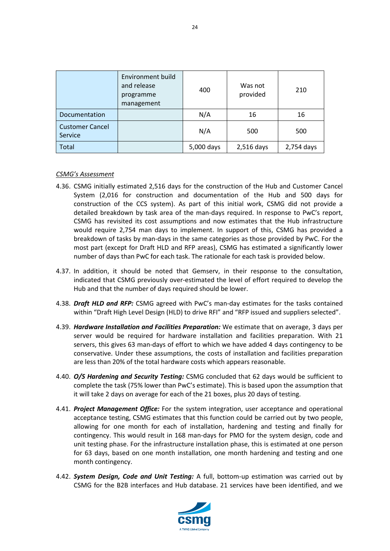|                                   | <b>Environment build</b><br>and release<br>programme<br>management | 400        | Was not<br>provided | 210        |
|-----------------------------------|--------------------------------------------------------------------|------------|---------------------|------------|
| Documentation                     |                                                                    | N/A        | 16                  | 16         |
| <b>Customer Cancel</b><br>Service |                                                                    | N/A        | 500                 | 500        |
| Total                             |                                                                    | 5,000 days | 2,516 days          | 2,754 days |

#### *CSMG's Assessment*

- 4.36. CSMG initially estimated 2,516 days for the construction of the Hub and Customer Cancel System (2,016 for construction and documentation of the Hub and 500 days for construction of the CCS system). As part of this initial work, CSMG did not provide a detailed breakdown by task area of the man-days required. In response to PwC's report, CSMG has revisited its cost assumptions and now estimates that the Hub infrastructure would require 2,754 man days to implement. In support of this, CSMG has provided a breakdown of tasks by man-days in the same categories as those provided by PwC. For the most part (except for Draft HLD and RFP areas), CSMG has estimated a significantly lower number of days than PwC for each task. The rationale for each task is provided below.
- 4.37. In addition, it should be noted that Gemserv, in their response to the consultation, indicated that CSMG previously over-estimated the level of effort required to develop the Hub and that the number of days required should be lower.
- 4.38. *Draft HLD and RFP:* CSMG agreed with PwC's man-day estimates for the tasks contained within "Draft High Level Design (HLD) to drive RFI" and "RFP issued and suppliers selected".
- 4.39. *Hardware Installation and Facilities Preparation:* We estimate that on average, 3 days per server would be required for hardware installation and facilities preparation. With 21 servers, this gives 63 man-days of effort to which we have added 4 days contingency to be conservative. Under these assumptions, the costs of installation and facilities preparation are less than 20% of the total hardware costs which appears reasonable.
- 4.40. *O/S Hardening and Security Testing:* CSMG concluded that 62 days would be sufficient to complete the task (75% lower than PwC's estimate). This is based upon the assumption that it will take 2 days on average for each of the 21 boxes, plus 20 days of testing.
- 4.41. *Project Management Office:* For the system integration, user acceptance and operational acceptance testing, CSMG estimates that this function could be carried out by two people, allowing for one month for each of installation, hardening and testing and finally for contingency. This would result in 168 man-days for PMO for the system design, code and unit testing phase. For the infrastructure installation phase, this is estimated at one person for 63 days, based on one month installation, one month hardening and testing and one month contingency.
- 4.42. *System Design, Code and Unit Testing:* A full, bottom-up estimation was carried out by CSMG for the B2B interfaces and Hub database. 21 services have been identified, and we

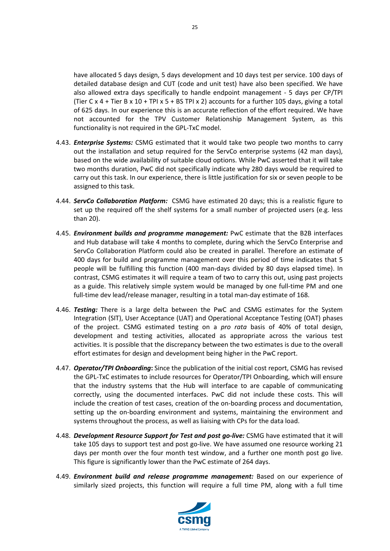have allocated 5 days design, 5 days development and 10 days test per service. 100 days of detailed database design and CUT (code and unit test) have also been specified. We have also allowed extra days specifically to handle endpoint management - 5 days per CP/TPI (Tier C  $\times$  4 + Tier B  $\times$  10 + TPI  $\times$  5 + BS TPI  $\times$  2) accounts for a further 105 days, giving a total of 625 days. In our experience this is an accurate reflection of the effort required. We have not accounted for the TPV Customer Relationship Management System, as this functionality is not required in the GPL-TxC model.

- 4.43. *Enterprise Systems:* CSMG estimated that it would take two people two months to carry out the installation and setup required for the ServCo enterprise systems (42 man days), based on the wide availability of suitable cloud options. While PwC asserted that it will take two months duration, PwC did not specifically indicate why 280 days would be required to carry out this task. In our experience, there is little justification for six or seven people to be assigned to this task.
- 4.44. *ServCo Collaboration Platform:* CSMG have estimated 20 days; this is a realistic figure to set up the required off the shelf systems for a small number of projected users (e.g. less than 20).
- 4.45. *Environment builds and programme management:* PwC estimate that the B2B interfaces and Hub database will take 4 months to complete, during which the ServCo Enterprise and ServCo Collaboration Platform could also be created in parallel. Therefore an estimate of 400 days for build and programme management over this period of time indicates that 5 people will be fulfilling this function (400 man-days divided by 80 days elapsed time). In contrast, CSMG estimates it will require a team of two to carry this out, using past projects as a guide. This relatively simple system would be managed by one full-time PM and one full-time dev lead/release manager, resulting in a total man-day estimate of 168.
- 4.46. *Testing:* There is a large delta between the PwC and CSMG estimates for the System Integration (SIT), User Acceptance (UAT) and Operational Acceptance Testing (OAT) phases of the project. CSMG estimated testing on a *pro rata* basis of 40% of total design, development and testing activities, allocated as appropriate across the various test activities. It is possible that the discrepancy between the two estimates is due to the overall effort estimates for design and development being higher in the PwC report.
- 4.47. *Operator/TPI Onboarding***:** Since the publication of the initial cost report, CSMG has revised the GPL-TxC estimates to include resources for Operator/TPI Onboarding, which will ensure that the industry systems that the Hub will interface to are capable of communicating correctly, using the documented interfaces. PwC did not include these costs. This will include the creation of test cases, creation of the on-boarding process and documentation, setting up the on-boarding environment and systems, maintaining the environment and systems throughout the process, as well as liaising with CPs for the data load.
- 4.48. *Development Resource Support for Test and post go-live:* CSMG have estimated that it will take 105 days to support test and post go-live. We have assumed one resource working 21 days per month over the four month test window, and a further one month post go live. This figure is significantly lower than the PwC estimate of 264 days.
- 4.49. *Environment build and release programme management:* Based on our experience of similarly sized projects, this function will require a full time PM, along with a full time



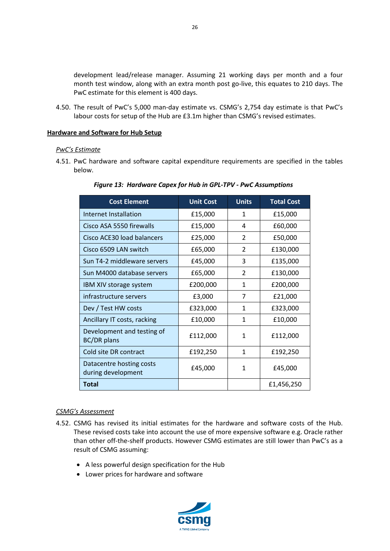development lead/release manager. Assuming 21 working days per month and a four month test window, along with an extra month post go-live, this equates to 210 days. The PwC estimate for this element is 400 days.

4.50. The result of PwC's 5,000 man-day estimate vs. CSMG's 2,754 day estimate is that PwC's labour costs for setup of the Hub are £3.1m higher than CSMG's revised estimates.

#### <span id="page-25-0"></span>**Hardware and Software for Hub Setup**

#### *PwC's Estimate*

4.51. PwC hardware and software capital expenditure requirements are specified in the tables below.

| <b>Cost Element</b>                              | <b>Unit Cost</b> | <b>Units</b>   | <b>Total Cost</b> |
|--------------------------------------------------|------------------|----------------|-------------------|
| Internet Installation                            | £15,000          | 1              | £15,000           |
| Cisco ASA 5550 firewalls                         | £15,000          | 4              | £60,000           |
| Cisco ACE30 load balancers                       | £25,000          | $\overline{2}$ | £50,000           |
| Cisco 6509 LAN switch                            | £65,000          | $\overline{2}$ | £130,000          |
| Sun T4-2 middleware servers                      | £45,000          | 3              | £135,000          |
| Sun M4000 database servers                       | £65,000          | $\overline{2}$ | £130,000          |
| IBM XIV storage system                           | £200,000         | $\mathbf{1}$   | £200,000          |
| infrastructure servers                           | £3,000           | 7              | £21,000           |
| Dev / Test HW costs                              | £323,000         | 1              | £323,000          |
| Ancillary IT costs, racking                      | £10,000          | 1              | £10,000           |
| Development and testing of<br><b>BC/DR</b> plans | £112,000         | 1              | £112,000          |
| Cold site DR contract                            | £192,250         | $\mathbf{1}$   | £192,250          |
| Datacentre hosting costs<br>during development   | £45,000          | 1              | £45,000           |
| Total                                            |                  |                | £1,456,250        |

#### *CSMG's Assessment*

- 4.52. CSMG has revised its initial estimates for the hardware and software costs of the Hub. These revised costs take into account the use of more expensive software e.g. Oracle rather than other off-the-shelf products. However CSMG estimates are still lower than PwC's as a result of CSMG assuming:
	- A less powerful design specification for the Hub
	- Lower prices for hardware and software



26

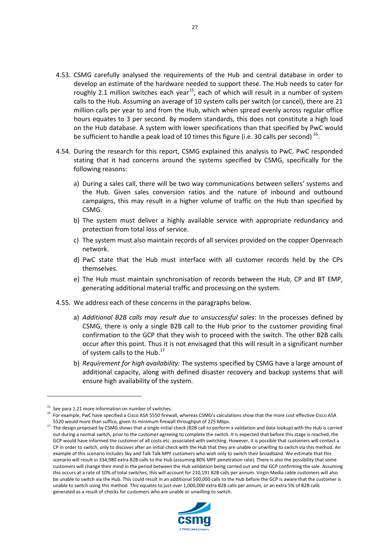- 4.53. CSMG carefully analysed the requirements of the Hub and central database in order to develop an estimate of the hardware needed to support these. The Hub needs to cater for roughly 2.1 million switches each year<sup>[15](#page-26-0)</sup>, each of which will result in a number of system calls to the Hub. Assuming an average of 10 system calls per switch (or cancel), there are 21 million calls per year to and from the Hub, which when spread evenly across regular office hours equates to 3 per second. By modern standards, this does not constitute a high load on the Hub database. A system with lower specifications than that specified by PwC would be sufficient to handle a peak load of 10 times this figure (i.e. 30 calls per second)  $^{16}$  $^{16}$  $^{16}$ .
- 4.54. During the research for this report, CSMG explained this analysis to PwC. PwC responded stating that it had concerns around the systems specified by CSMG, specifically for the following reasons:
	- a) During a sales call, there will be two way communications between sellers' systems and the Hub. Given sales conversion ratios and the nature of inbound and outbound campaigns, this may result in a higher volume of traffic on the Hub than specified by CSMG.
	- b) The system must deliver a highly available service with appropriate redundancy and protection from total loss of service.
	- c) The system must also maintain records of all services provided on the copper Openreach network.
	- d) PwC state that the Hub must interface with all customer records held by the CPs themselves.
	- e) The Hub must maintain synchronisation of records between the Hub, CP and BT EMP, generating additional material traffic and processing on the system.
- 4.55. We address each of these concerns in the paragraphs below.
	- a) *Additional B2B calls may result due to unsuccessful sales*: In the processes defined by CSMG, there is only a single B2B call to the Hub prior to the customer providing final confirmation to the GCP that they wish to proceed with the switch. The other B2B calls occur after this point. Thus it is not envisaged that this will result in a significant number of system calls to the Hub.<sup>[17](#page-26-2)</sup>
	- b) *Requirement for high availability:* The systems specified by CSMG have a large amount of additional capacity, along with defined disaster recovery and backup systems that will ensure high availability of the system.

 $\overline{a}$ 

<span id="page-26-2"></span><sup>&</sup>lt;sup>17</sup> The design proposed by CSMG shows that a single initial check (B2B call to perform a validation and data lookup) with the Hub is carried out during a normal switch, prior to the customer agreeing to complete the switch. It is expected that before this stage is reached, the GCP would have informed the customer of all costs etc. associated with switching. However, it is possible that customers will contact a CP in order to switch, only to discover after an initial check with the Hub that they are unable or unwilling to switch via this method. An example of this scenario includes Sky and Talk Talk MPF customers who wish only to switch their broadband. We estimate that this scenario will result in 334,980 extra B2B calls to the Hub (assuming 80% MPF penetration rate). There is also the possibility that some customers will change their mind in the period between the Hub validation being carried out and the GCP confirming the sale. Assuming this occurs at a rate of 10% of total switches, this will account for 210,191 B2B calls per annum. Virgin Media cable customers will also be unable to switch via the Hub. This could result in an additional 500,000 calls to the Hub before the GCP is aware that the customer is unable to switch using this method. This equates to just over 1,000,000 extra B2B calls per annum, or an extra 5% of B2B calls generated as a result of checks for customers who are unable or unwilling to switch.



<span id="page-26-0"></span> $15$  See para 1.21 more information on number of switches.

<span id="page-26-1"></span><sup>16</sup> For example, PwC have specified a Cisco ASA 5550 firewall, whereas CSMG's calculations show that the more cost effective Cisco ASA 5520 would more than suffice, given its minimum firewall throughput of 225 Mbps.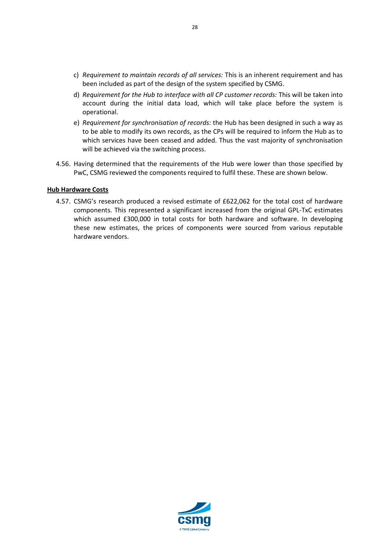- c) *Requirement to maintain records of all services:* This is an inherent requirement and has been included as part of the design of the system specified by CSMG.
- d) *Requirement for the Hub to interface with all CP customer records:* This will be taken into account during the initial data load, which will take place before the system is operational.
- e) *Requirement for synchronisation of records:* the Hub has been designed in such a way as to be able to modify its own records, as the CPs will be required to inform the Hub as to which services have been ceased and added. Thus the vast majority of synchronisation will be achieved via the switching process.
- 4.56. Having determined that the requirements of the Hub were lower than those specified by PwC, CSMG reviewed the components required to fulfil these. These are shown below.

#### <span id="page-27-0"></span>**Hub Hardware Costs**

4.57. CSMG's research produced a revised estimate of £622,062 for the total cost of hardware components. This represented a significant increased from the original GPL-TxC estimates which assumed £300,000 in total costs for both hardware and software. In developing these new estimates, the prices of components were sourced from various reputable hardware vendors.

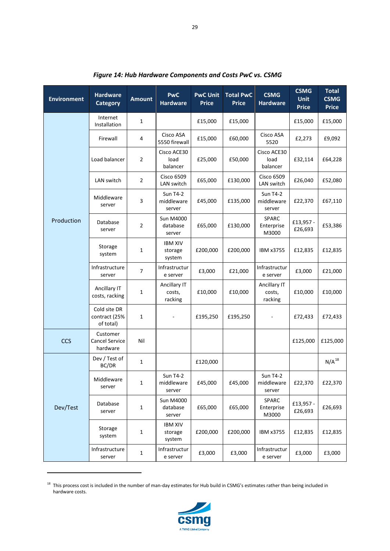| <b>Environment</b> | <b>Hardware</b><br><b>Category</b>            | <b>Amount</b>  | <b>PwC</b><br><b>Hardware</b>           | <b>PwC Unit</b><br><b>Price</b> | <b>Total PwC</b><br><b>Price</b> | <b>CSMG</b><br><b>Hardware</b>          | <b>CSMG</b><br><b>Unit</b><br><b>Price</b> | <b>Total</b><br><b>CSMG</b><br><b>Price</b> |
|--------------------|-----------------------------------------------|----------------|-----------------------------------------|---------------------------------|----------------------------------|-----------------------------------------|--------------------------------------------|---------------------------------------------|
|                    | Internet<br>Installation                      | 1              |                                         | £15,000                         | £15,000                          |                                         | £15,000                                    | £15,000                                     |
|                    | Firewall                                      | 4              | Cisco ASA<br>5550 firewall              | £15,000                         | £60,000                          | Cisco ASA<br>5520                       | £2,273                                     | £9,092                                      |
|                    | Load balancer                                 | $\overline{2}$ | Cisco ACE30<br>load<br>balancer         | £25,000                         | £50,000                          | Cisco ACE30<br>load<br>balancer         | £32,114                                    | £64,228                                     |
|                    | LAN switch                                    | $\overline{2}$ | <b>Cisco 6509</b><br>LAN switch         | £65,000                         | £130,000                         | <b>Cisco 6509</b><br>LAN switch         | £26,040                                    | £52,080                                     |
|                    | Middleware<br>server                          | 3              | <b>Sun T4-2</b><br>middleware<br>server | £45,000                         | £135,000                         | <b>Sun T4-2</b><br>middleware<br>server | £22,370                                    | £67,110                                     |
| Production         | Database<br>server                            | 2              | <b>Sun M4000</b><br>database<br>server  | £65,000                         | £130,000                         | SPARC<br>Enterprise<br>M3000            | £13,957 -<br>£26,693                       | £53,386                                     |
|                    | Storage<br>system                             | 1              | <b>IBM XIV</b><br>storage<br>system     | £200,000                        | £200,000                         | IBM x3755                               | £12,835                                    | £12,835                                     |
|                    | Infrastructure<br>server                      | 7              | Infrastructur<br>e server               | £3,000                          | £21,000                          | Infrastructur<br>e server               | £3,000                                     | £21,000                                     |
|                    | Ancillary IT<br>costs, racking                | 1              | Ancillary IT<br>costs,<br>racking       | £10,000                         | £10,000                          | Ancillary IT<br>costs,<br>racking       | £10,000                                    | £10,000                                     |
|                    | Cold site DR<br>contract (25%<br>of total)    | 1              |                                         | £195,250                        | £195,250                         |                                         | £72,433                                    | £72,433                                     |
| <b>CCS</b>         | Customer<br><b>Cancel Service</b><br>hardware | Nil            |                                         |                                 |                                  |                                         | £125,000                                   | £125,000                                    |
|                    | Dev / Test of<br>BC/DR                        | $\mathbf{1}$   |                                         | £120,000                        |                                  |                                         |                                            | $N/A^{18}$                                  |
|                    | Middleware<br>server                          | 1              | <b>Sun T4-2</b><br>middleware<br>server | £45,000                         | £45,000                          | <b>Sun T4-2</b><br>middleware<br>server | £22,370                                    | £22,370                                     |
| Dev/Test           | Database<br>server                            | $\mathbf{1}$   | <b>Sun M4000</b><br>database<br>server  | £65,000                         | £65,000                          | SPARC<br>Enterprise<br>M3000            | £13,957 -<br>£26,693                       | £26,693                                     |
|                    | Storage<br>system                             | 1              | <b>IBM XIV</b><br>storage<br>system     | £200,000                        | £200,000                         | IBM x3755                               | £12,835                                    | £12,835                                     |
|                    | Infrastructure<br>server                      | 1              | Infrastructur<br>e server               | £3,000                          | £3,000                           | Infrastructur<br>e server               | £3,000                                     | £3,000                                      |

*Figure 14: Hub Hardware Components and Costs PwC vs. CSMG*

29

<span id="page-28-0"></span><sup>&</sup>lt;sup>18</sup> This process cost is included in the number of man-day estimates for Hub build in CSMG's estimates rather than being included in hardware costs.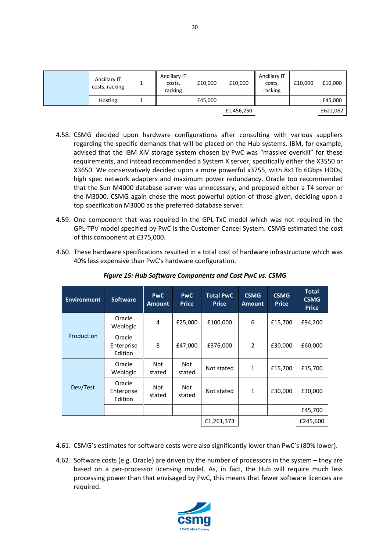| Ancillary IT<br>costs, racking | Ancillary IT<br>costs,<br>racking | £10,000 | £10,000    | Ancillary IT<br>costs,<br>racking | £10,000 | £10,000  |
|--------------------------------|-----------------------------------|---------|------------|-----------------------------------|---------|----------|
| Hosting                        |                                   | £45,000 |            |                                   |         | £45,000  |
|                                |                                   |         | £1,456,250 |                                   |         | £622,062 |

- 4.58. CSMG decided upon hardware configurations after consulting with various suppliers regarding the specific demands that will be placed on the Hub systems. IBM, for example, advised that the IBM XIV storage system chosen by PwC was "massive overkill" for these requirements, and instead recommended a System X server, specifically either the X3550 or X3650. We conservatively decided upon a more powerful x3755, with 8x1Tb 6Gbps HDDs, high spec network adapters and maximum power redundancy. Oracle too recommended that the Sun M4000 database server was unnecessary, and proposed either a T4 server or the M3000. CSMG again chose the most powerful option of those given, deciding upon a top specification M3000 as the preferred database server.
- 4.59. One component that was required in the GPL-TxC model which was not required in the GPL-TPV model specified by PwC is the Customer Cancel System. CSMG estimated the cost of this component at £375,000.
- 4.60. These hardware specifications resulted in a total cost of hardware infrastructure which was 40% less expensive than PwC's hardware configuration.

| <b>Environment</b> | <b>Software</b>                 | <b>PwC</b><br><b>Amount</b> | <b>PwC</b><br><b>Price</b> | <b>Total PwC</b><br><b>Price</b> | <b>CSMG</b><br><b>Amount</b> | <b>CSMG</b><br><b>Price</b> | <b>Total</b><br><b>CSMG</b><br><b>Price</b> |
|--------------------|---------------------------------|-----------------------------|----------------------------|----------------------------------|------------------------------|-----------------------------|---------------------------------------------|
|                    | Oracle<br>Weblogic              | 4                           | £25,000                    | £100,000                         | 6                            | £15,700                     | £94,200                                     |
| Production         | Oracle<br>Enterprise<br>Edition | 8                           | £47,000                    | £376,000                         | $\overline{\phantom{a}}$     | £30,000                     | £60,000                                     |
|                    | Oracle<br>Weblogic              | <b>Not</b><br>stated        | <b>Not</b><br>stated       | Not stated                       | $\mathbf{1}$                 | £15,700                     | £15,700                                     |
| Dev/Test           | Oracle<br>Enterprise<br>Edition | <b>Not</b><br>stated        | <b>Not</b><br>stated       | Not stated                       | $\mathbf{1}$                 | £30,000                     | £30,000                                     |
|                    |                                 |                             |                            |                                  |                              |                             | £45,700                                     |
|                    |                                 |                             | £1,261,373                 |                                  |                              | £245,600                    |                                             |

*Figure 15: Hub Software Components and Cost PwC vs. CSMG*

- 4.61. CSMG's estimates for software costs were also significantly lower than PwC's (80% lower).
- 4.62. Software costs (e.g. Oracle) are driven by the number of processors in the system they are based on a per-processor licensing model. As, in fact, the Hub will require much less processing power than that envisaged by PwC, this means that fewer software licences are required.

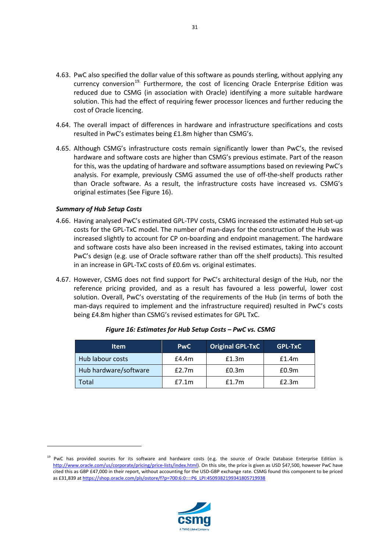- 4.63. PwC also specified the dollar value of this software as pounds sterling, without applying any currency conversion<sup>[19.](#page-30-0)</sup> Furthermore, the cost of licencing Oracle Enterprise Edition was reduced due to CSMG (in association with Oracle) identifying a more suitable hardware solution. This had the effect of requiring fewer processor licences and further reducing the cost of Oracle licencing.
- 4.64. The overall impact of differences in hardware and infrastructure specifications and costs resulted in PwC's estimates being £1.8m higher than CSMG's.
- 4.65. Although CSMG's infrastructure costs remain significantly lower than PwC's, the revised hardware and software costs are higher than CSMG's previous estimate. Part of the reason for this, was the updating of hardware and software assumptions based on reviewing PwC's analysis. For example, previously CSMG assumed the use of off-the-shelf products rather than Oracle software. As a result, the infrastructure costs have increased vs. CSMG's original estimates (See Figure 16).

#### *Summary of Hub Setup Costs*

 $\overline{a}$ 

- 4.66. Having analysed PwC's estimated GPL-TPV costs, CSMG increased the estimated Hub set-up costs for the GPL-TxC model. The number of man-days for the construction of the Hub was increased slightly to account for CP on-boarding and endpoint management. The hardware and software costs have also been increased in the revised estimates, taking into account PwC's design (e.g. use of Oracle software rather than off the shelf products). This resulted in an increase in GPL-TxC costs of £0.6m vs. original estimates.
- 4.67. However, CSMG does not find support for PwC's architectural design of the Hub, nor the reference pricing provided, and as a result has favoured a less powerful, lower cost solution. Overall, PwC's overstating of the requirements of the Hub (in terms of both the man-days required to implement and the infrastructure required) resulted in PwC's costs being £4.8m higher than CSMG's revised estimates for GPL TxC.

| ltem                  | <b>PwC</b> | <b>Original GPL-TxC</b> | <b>GPL-TxC</b> |
|-----------------------|------------|-------------------------|----------------|
| Hub labour costs      | E4.4m      | £1.3m                   | f1.4m          |
| Hub hardware/software | E2.7m      | £0.3m                   | £0.9m          |
| Total                 | E7.1m      | f1.7m                   | E2.3m          |

*Figure 16: Estimates for Hub Setup Costs – PwC vs. CSMG*





<span id="page-30-0"></span><sup>&</sup>lt;sup>19</sup> PwC has provided sources for its software and hardware costs (e.g. the source of Oracle Database Enterprise Edition is [http://www.oracle.com/us/corporate/pricing/price-lists/index.html\).](http://www.oracle.com/us/corporate/pricing/price-lists/index.html) On this site, the price is given as USD \$47,500, however PwC have cited this as GBP £47,000 in their report, without accounting for the USD-GBP exchange rate. CSMG found this component to be priced as £31,839 a[t https://shop.oracle.com/pls/ostore/f?p=700:6:0::::P6\\_LPI:4509382199341805719938](https://shop.oracle.com/pls/ostore/f?p=700:6:0::::P6_LPI:4509382199341805719938)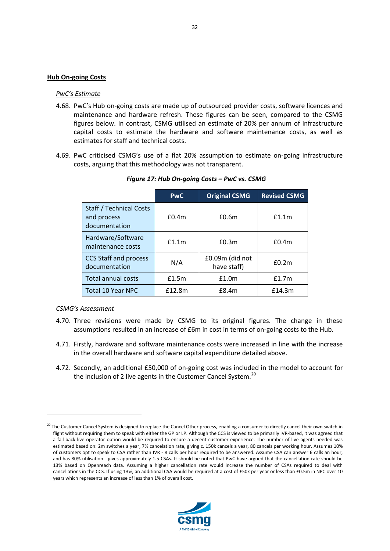#### <span id="page-31-0"></span>**Hub On-going Costs**

#### *PwC's Estimate*

- 4.68. PwC's Hub on-going costs are made up of outsourced provider costs, software licences and maintenance and hardware refresh. These figures can be seen, compared to the CSMG figures below. In contrast, CSMG utilised an estimate of 20% per annum of infrastructure capital costs to estimate the hardware and software maintenance costs, as well as estimates for staff and technical costs.
- 4.69. PwC criticised CSMG's use of a flat 20% assumption to estimate on-going infrastructure costs, arguing that this methodology was not transparent.

|                                                                | <b>PwC</b> | <b>Original CSMG</b>           | <b>Revised CSMG</b> |
|----------------------------------------------------------------|------------|--------------------------------|---------------------|
| <b>Staff / Technical Costs</b><br>and process<br>documentation | $f$ 0.4m   | £0.6m                          | f1.1m               |
| Hardware/Software<br>maintenance costs                         | f1.1m      | £0.3m                          | £0.4m               |
| <b>CCS Staff and process</b><br>documentation                  | N/A        | £0.09m (did not<br>have staff) | £0.2m               |
| Total annual costs                                             | £1.5m      | £1.0m                          | f1.7m               |
| <b>Total 10 Year NPC</b>                                       | f12.8m     | E8.4m                          | £14.3m              |

*Figure 17: Hub On-going Costs – PwC vs. CSMG*

#### *CSMG's Assessment*

- 4.70. Three revisions were made by CSMG to its original figures. The change in these assumptions resulted in an increase of £6m in cost in terms of on-going costs to the Hub.
- 4.71. Firstly, hardware and software maintenance costs were increased in line with the increase in the overall hardware and software capital expenditure detailed above.
- 4.72. Secondly, an additional £50,000 of on-going cost was included in the model to account for the inclusion of 2 live agents in the Customer Cancel System.<sup>[20](#page-31-1)</sup>

<span id="page-31-1"></span><sup>&</sup>lt;sup>20</sup> The Customer Cancel System is designed to replace the Cancel Other process, enabling a consumer to directly cancel their own switch in flight without requiring them to speak with either the GP or LP. Although the CCS is viewed to be primarily IVR-based, it was agreed that a fall-back live operator option would be required to ensure a decent customer experience. The number of live agents needed was estimated based on: 2m switches a year, 7% cancelation rate, giving c. 150k cancels a year, 80 cancels per working hour. Assumes 10% of customers opt to speak to CSA rather than IVR - 8 calls per hour required to be answered. Assume CSA can answer 6 calls an hour, and has 80% utilisation - gives approximately 1.5 CSAs. It should be noted that PwC have argued that the cancellation rate should be 13% based on Openreach data. Assuming a higher cancellation rate would increase the number of CSAs required to deal with cancellations in the CCS. If using 13%, an additional CSA would be required at a cost of £50k per year or less than £0.5m in NPC over 10 years which represents an increase of less than 1% of overall cost.

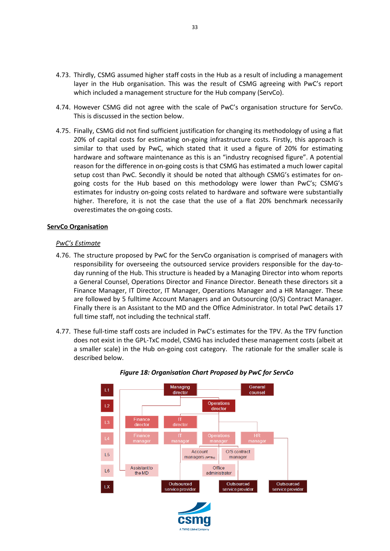- 4.73. Thirdly, CSMG assumed higher staff costs in the Hub as a result of including a management layer in the Hub organisation. This was the result of CSMG agreeing with PwC's report which included a management structure for the Hub company (ServCo).
- 4.74. However CSMG did not agree with the scale of PwC's organisation structure for ServCo. This is discussed in the section below.
- 4.75. Finally, CSMG did not find sufficient justification for changing its methodology of using a flat 20% of capital costs for estimating on-going infrastructure costs. Firstly, this approach is similar to that used by PwC, which stated that it used a figure of 20% for estimating hardware and software maintenance as this is an "industry recognised figure". A potential reason for the difference in on-going costs is that CSMG has estimated a much lower capital setup cost than PwC. Secondly it should be noted that although CSMG's estimates for ongoing costs for the Hub based on this methodology were lower than PwC's; CSMG's estimates for industry on-going costs related to hardware and software were substantially higher. Therefore, it is not the case that the use of a flat 20% benchmark necessarily overestimates the on-going costs.

#### <span id="page-32-0"></span>**ServCo Organisation**

#### *PwC's Estimate*

- 4.76. The structure proposed by PwC for the ServCo organisation is comprised of managers with responsibility for overseeing the outsourced service providers responsible for the day-today running of the Hub. This structure is headed by a Managing Director into whom reports a General Counsel, Operations Director and Finance Director. Beneath these directors sit a Finance Manager, IT Director, IT Manager, Operations Manager and a HR Manager. These are followed by 5 fulltime Account Managers and an Outsourcing (O/S) Contract Manager. Finally there is an Assistant to the MD and the Office Administrator. In total PwC details 17 full time staff, not including the technical staff.
- 4.77. These full-time staff costs are included in PwC's estimates for the TPV. As the TPV function does not exist in the GPL-TxC model, CSMG has included these management costs (albeit at a smaller scale) in the Hub on-going cost category. The rationale for the smaller scale is described below.



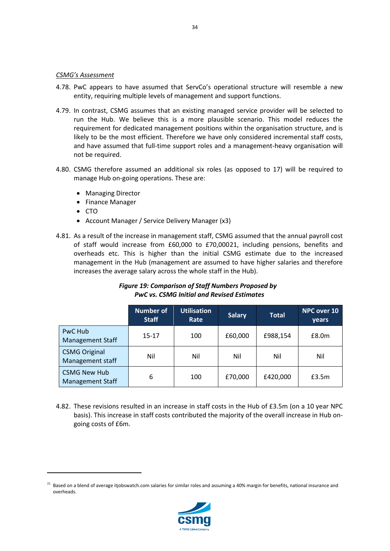#### *CSMG's Assessment*

- 4.78. PwC appears to have assumed that ServCo's operational structure will resemble a new entity, requiring multiple levels of management and support functions.
- 4.79. In contrast, CSMG assumes that an existing managed service provider will be selected to run the Hub. We believe this is a more plausible scenario. This model reduces the requirement for dedicated management positions within the organisation structure, and is likely to be the most efficient. Therefore we have only considered incremental staff costs, and have assumed that full-time support roles and a management-heavy organisation will not be required.
- 4.80. CSMG therefore assumed an additional six roles (as opposed to 17) will be required to manage Hub on-going operations. These are:
	- Managing Director
	- Finance Manager
	- CTO

**.** 

- Account Manager / Service Delivery Manager (x3)
- 4.81. As a result of the increase in management staff, CSMG assumed that the annual payroll cost of staff would increase from £60,000 to £70,000[21,](#page-33-0) including pensions, benefits and overheads etc. This is higher than the initial CSMG estimate due to the increased management in the Hub (management are assumed to have higher salaries and therefore increases the average salary across the whole staff in the Hub).

# *Figure 19: Comparison of Staff Numbers Proposed by PwC vs. CSMG Initial and Revised Estimates*

|                                                | <b>Number of</b><br><b>Staff</b> | <b>Utilisation</b><br>Rate | <b>Salary</b> | <b>Total</b> | <b>NPC over 10</b><br>years |
|------------------------------------------------|----------------------------------|----------------------------|---------------|--------------|-----------------------------|
| PwC Hub<br><b>Management Staff</b>             | $15 - 17$                        | 100                        | £60,000       | £988,154     | E8.0m                       |
| <b>CSMG Original</b><br>Management staff       | Nil                              | Nil                        | Nil           | Nil          | Nil                         |
| <b>CSMG New Hub</b><br><b>Management Staff</b> | 6                                | 100                        | £70,000       | £420,000     | £3.5m                       |

4.82. These revisions resulted in an increase in staff costs in the Hub of £3.5m (on a 10 year NPC basis). This increase in staff costs contributed the majority of the overall increase in Hub ongoing costs of £6m.



<span id="page-33-0"></span> $21$  Based on a blend of average itjobswatch.com salaries for similar roles and assuming a 40% margin for benefits, national insurance and overheads.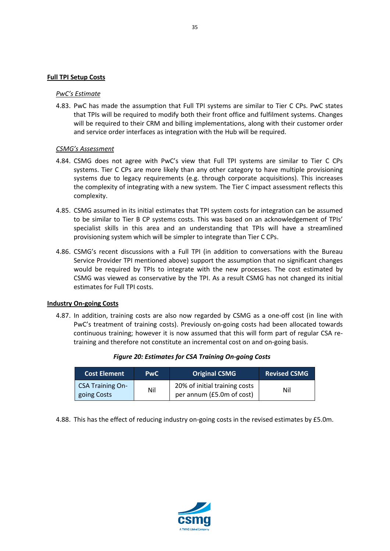#### <span id="page-34-0"></span>**Full TPI Setup Costs**

#### *PwC's Estimate*

4.83. PwC has made the assumption that Full TPI systems are similar to Tier C CPs. PwC states that TPIs will be required to modify both their front office and fulfilment systems. Changes will be required to their CRM and billing implementations, along with their customer order and service order interfaces as integration with the Hub will be required.

#### *CSMG's Assessment*

- 4.84. CSMG does not agree with PwC's view that Full TPI systems are similar to Tier C CPs systems. Tier C CPs are more likely than any other category to have multiple provisioning systems due to legacy requirements (e.g. through corporate acquisitions). This increases the complexity of integrating with a new system. The Tier C impact assessment reflects this complexity.
- 4.85. CSMG assumed in its initial estimates that TPI system costs for integration can be assumed to be similar to Tier B CP systems costs. This was based on an acknowledgement of TPIs' specialist skills in this area and an understanding that TPIs will have a streamlined provisioning system which will be simpler to integrate than Tier C CPs.
- 4.86. CSMG's recent discussions with a Full TPI (in addition to conversations with the Bureau Service Provider TPI mentioned above) support the assumption that no significant changes would be required by TPIs to integrate with the new processes. The cost estimated by CSMG was viewed as conservative by the TPI. As a result CSMG has not changed its initial estimates for Full TPI costs.

#### <span id="page-34-1"></span>**Industry On-going Costs**

4.87. In addition, training costs are also now regarded by CSMG as a one-off cost (in line with PwC's treatment of training costs). Previously on-going costs had been allocated towards continuous training; however it is now assumed that this will form part of regular CSA retraining and therefore not constitute an incremental cost on and on-going basis.

| <b>Cost Element</b>                    | <b>PwC</b> | <b>Original CSMG</b>                                       | <b>Revised CSMG</b> |
|----------------------------------------|------------|------------------------------------------------------------|---------------------|
| <b>CSA Training On-</b><br>going Costs | Nil        | 20% of initial training costs<br>per annum (£5.0m of cost) | Nil                 |

#### *Figure 20: Estimates for CSA Training On-going Costs*

4.88. This has the effect of reducing industry on-going costs in the revised estimates by £5.0m.



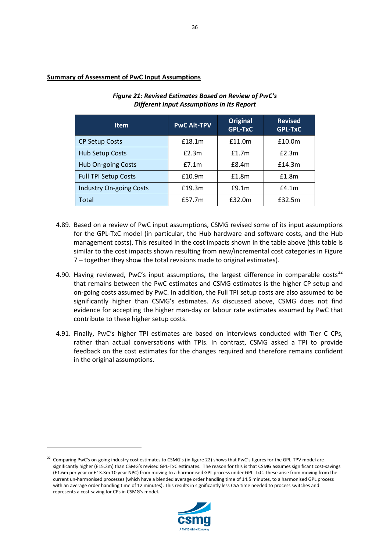# <span id="page-35-0"></span>**Summary of Assessment of PwC Input Assumptions**

**.** 

| <b>Item</b>                    | <b>PwC Alt-TPV</b> | <b>Original</b><br><b>GPL-TxC</b> | <b>Revised</b><br><b>GPL-TxC</b> |
|--------------------------------|--------------------|-----------------------------------|----------------------------------|
| <b>CP Setup Costs</b>          | £18.1m             | £11.0m                            | £10.0m                           |
| Hub Setup Costs                | E2.3m              | f1.7m                             | £2.3m                            |
| Hub On-going Costs             | E7.1m              | £8.4m                             | £14.3m                           |
| <b>Full TPI Setup Costs</b>    | £10.9m             | £1.8m                             | £1.8m                            |
| <b>Industry On-going Costs</b> | £19.3m             | £9.1m                             | f4.1m                            |
| Total                          | £57.7m             | £32.0m                            | £32.5m                           |

# *Figure 21: Revised Estimates Based on Review of PwC's Different Input Assumptions in Its Report*

- 4.89. Based on a review of PwC input assumptions, CSMG revised some of its input assumptions for the GPL-TxC model (in particular, the Hub hardware and software costs, and the Hub management costs). This resulted in the cost impacts shown in the table above (this table is similar to the cost impacts shown resulting from new/incremental cost categories in Figure 7 – together they show the total revisions made to original estimates).
- 4.90. Having reviewed, PwC's input assumptions, the largest difference in comparable costs<sup>[22](#page-35-1)</sup> that remains between the PwC estimates and CSMG estimates is the higher CP setup and on-going costs assumed by PwC. In addition, the Full TPI setup costs are also assumed to be significantly higher than CSMG's estimates. As discussed above, CSMG does not find evidence for accepting the higher man-day or labour rate estimates assumed by PwC that contribute to these higher setup costs.
- 4.91. Finally, PwC's higher TPI estimates are based on interviews conducted with Tier C CPs, rather than actual conversations with TPIs. In contrast, CSMG asked a TPI to provide feedback on the cost estimates for the changes required and therefore remains confident in the original assumptions.

<span id="page-35-1"></span><sup>&</sup>lt;sup>22</sup> Comparing PwC's on-going industry cost estimates to CSMG's (in figure 22) shows that PwC's figures for the GPL-TPV model are significantly higher (£15.2m) than CSMG's revised GPL-TxC estimates. The reason for this is that CSMG assumes significant cost-savings (£1.6m per year or £13.3m 10 year NPC) from moving to a harmonised GPL process under GPL-TxC. These arise from moving from the current un-harmonised processes (which have a blended average order handling time of 14.5 minutes, to a harmonised GPL process with an average order handling time of 12 minutes). This results in significantly less CSA time needed to process switches and represents a cost-saving for CPs in CSMG's model.

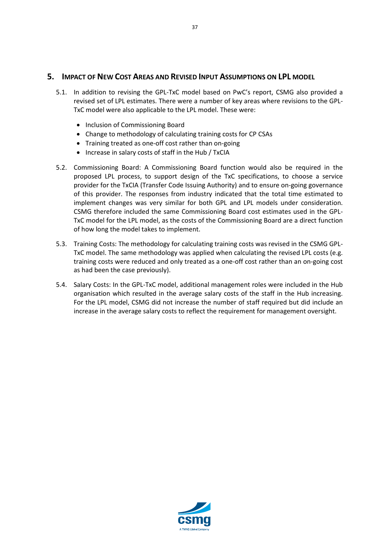# <span id="page-36-0"></span>**5. IMPACT OF NEW COST AREAS AND REVISED INPUT ASSUMPTIONS ON LPL MODEL**

- 5.1. In addition to revising the GPL-TxC model based on PwC's report, CSMG also provided a revised set of LPL estimates. There were a number of key areas where revisions to the GPL-TxC model were also applicable to the LPL model. These were:
	- Inclusion of Commissioning Board
	- Change to methodology of calculating training costs for CP CSAs
	- Training treated as one-off cost rather than on-going
	- Increase in salary costs of staff in the Hub / TxCIA
- 5.2. Commissioning Board: A Commissioning Board function would also be required in the proposed LPL process, to support design of the TxC specifications, to choose a service provider for the TxCIA (Transfer Code Issuing Authority) and to ensure on-going governance of this provider. The responses from industry indicated that the total time estimated to implement changes was very similar for both GPL and LPL models under consideration. CSMG therefore included the same Commissioning Board cost estimates used in the GPL-TxC model for the LPL model, as the costs of the Commissioning Board are a direct function of how long the model takes to implement.
- 5.3. Training Costs: The methodology for calculating training costs was revised in the CSMG GPL-TxC model. The same methodology was applied when calculating the revised LPL costs (e.g. training costs were reduced and only treated as a one-off cost rather than an on-going cost as had been the case previously).
- 5.4. Salary Costs: In the GPL-TxC model, additional management roles were included in the Hub organisation which resulted in the average salary costs of the staff in the Hub increasing. For the LPL model, CSMG did not increase the number of staff required but did include an increase in the average salary costs to reflect the requirement for management oversight.

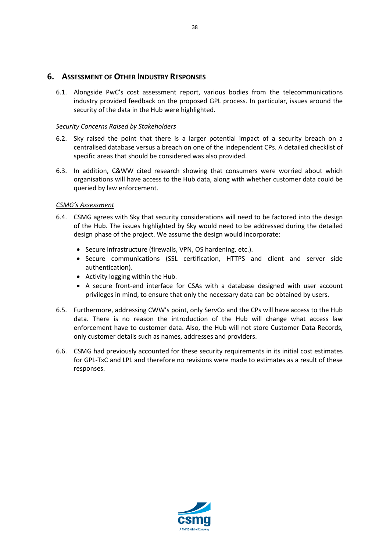# <span id="page-37-0"></span>**6. ASSESSMENT OF OTHER INDUSTRY RESPONSES**

6.1. Alongside PwC's cost assessment report, various bodies from the telecommunications industry provided feedback on the proposed GPL process. In particular, issues around the security of the data in the Hub were highlighted.

# *Security Concerns Raised by Stakeholders*

- 6.2. Sky raised the point that there is a larger potential impact of a security breach on a centralised database versus a breach on one of the independent CPs. A detailed checklist of specific areas that should be considered was also provided.
- 6.3. In addition, C&WW cited research showing that consumers were worried about which organisations will have access to the Hub data, along with whether customer data could be queried by law enforcement.

# *CSMG's Assessment*

- 6.4. CSMG agrees with Sky that security considerations will need to be factored into the design of the Hub. The issues highlighted by Sky would need to be addressed during the detailed design phase of the project. We assume the design would incorporate:
	- Secure infrastructure (firewalls, VPN, OS hardening, etc.).
	- Secure communications (SSL certification, HTTPS and client and server side authentication).
	- Activity logging within the Hub.
	- A secure front-end interface for CSAs with a database designed with user account privileges in mind, to ensure that only the necessary data can be obtained by users.
- 6.5. Furthermore, addressing CWW's point, only ServCo and the CPs will have access to the Hub data. There is no reason the introduction of the Hub will change what access law enforcement have to customer data. Also, the Hub will not store Customer Data Records, only customer details such as names, addresses and providers.
- 6.6. CSMG had previously accounted for these security requirements in its initial cost estimates for GPL-TxC and LPL and therefore no revisions were made to estimates as a result of these responses.



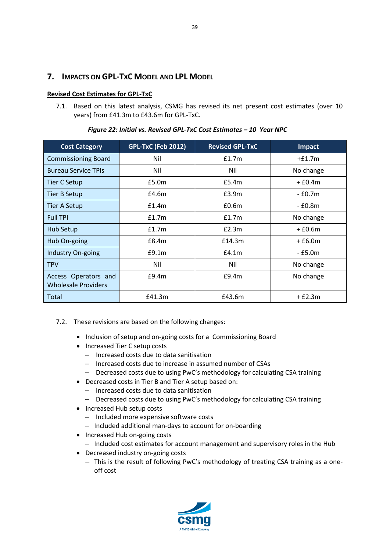# <span id="page-38-0"></span>**7. IMPACTS ON GPL-TXC MODEL AND LPL MODEL**

# <span id="page-38-1"></span>**Revised Cost Estimates for GPL-TxC**

7.1. Based on this latest analysis, CSMG has revised its net present cost estimates (over 10 years) from £41.3m to £43.6m for GPL-TxC.

| <b>Cost Category</b>                               | <b>GPL-TxC (Feb 2012)</b> | <b>Revised GPL-TxC</b> | Impact    |
|----------------------------------------------------|---------------------------|------------------------|-----------|
| <b>Commissioning Board</b>                         | Nil                       | f1.7m                  | $+£1.7m$  |
| <b>Bureau Service TPIs</b>                         | Nil                       | Nil                    | No change |
| Tier C Setup                                       | £5.0m                     | £5.4m                  | $+ f0.4m$ |
| <b>Tier B Setup</b>                                | £4.6m                     | £3.9m                  | - £0.7m   |
| <b>Tier A Setup</b>                                | f1.4m                     | £0.6m                  | - £0.8m   |
| <b>Full TPI</b>                                    | f1.7m                     | f1.7m                  | No change |
| Hub Setup                                          | £1.7m                     | E2.3m                  | $+£0.6m$  |
| Hub On-going                                       | E8.4m                     | £14.3m                 | $+£6.0m$  |
| Industry On-going                                  | E9.1m                     | E4.1m                  | - £5.0m   |
| <b>TPV</b>                                         | Nil                       | Nil                    | No change |
| Access Operators and<br><b>Wholesale Providers</b> | £9.4m                     | E9.4m                  | No change |
| Total                                              | £41.3m                    | £43.6m                 | $+£2.3m$  |

*Figure 22: Initial vs. Revised GPL-TxC Cost Estimates – 10 Year NPC*

- 7.2. These revisions are based on the following changes:
	- Inclusion of setup and on-going costs for a Commissioning Board
	- Increased Tier C setup costs
		- ‒ Increased costs due to data sanitisation
		- ‒ Increased costs due to increase in assumed number of CSAs
		- Decreased costs due to using PwC's methodology for calculating CSA training
	- Decreased costs in Tier B and Tier A setup based on:
		- ‒ Increased costs due to data sanitisation
		- Decreased costs due to using PwC's methodology for calculating CSA training
	- Increased Hub setup costs
		- Included more expensive software costs
		- Included additional man-days to account for on-boarding
	- Increased Hub on-going costs
		- ‒ Included cost estimates for account management and supervisory roles in the Hub
	- Decreased industry on-going costs
		- This is the result of following PwC's methodology of treating CSA training as a oneoff cost

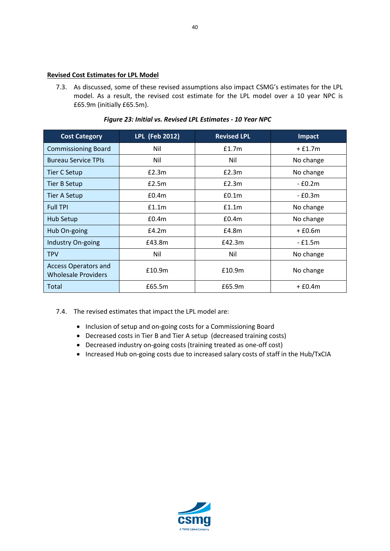#### <span id="page-39-0"></span>**Revised Cost Estimates for LPL Model**

7.3. As discussed, some of these revised assumptions also impact CSMG's estimates for the LPL model. As a result, the revised cost estimate for the LPL model over a 10 year NPC is £65.9m (initially £65.5m).

|  |  |  |  |  |  | Figure 23: Initial vs. Revised LPL Estimates - 10 Year NPC |  |  |  |
|--|--|--|--|--|--|------------------------------------------------------------|--|--|--|
|--|--|--|--|--|--|------------------------------------------------------------|--|--|--|

| <b>Cost Category</b>                                      | LPL (Feb 2012) | <b>Revised LPL</b> | Impact       |
|-----------------------------------------------------------|----------------|--------------------|--------------|
| <b>Commissioning Board</b>                                | Nil            | f1.7m              | $+£1.7m$     |
| <b>Bureau Service TPIs</b>                                | Nil            | Nil                | No change    |
| <b>Tier C Setup</b>                                       | E2.3m          | £2.3m              | No change    |
| <b>Tier B Setup</b>                                       | £2.5m          | £2.3m              | $-E0.2m$     |
| <b>Tier A Setup</b>                                       | £0.4m          | £0.1 <sub>m</sub>  | $-$ £0.3 $m$ |
| <b>Full TPI</b>                                           | f1.1m          | f1.1m              | No change    |
| Hub Setup                                                 | £0.4m          | £0.4m              | No change    |
| Hub On-going                                              | E4.2m          | £4.8m              | $+£0.6m$     |
| Industry On-going                                         | £43.8m         | £42.3m             | - £1.5m      |
| <b>TPV</b>                                                | Nil            | Nil                | No change    |
| <b>Access Operators and</b><br><b>Wholesale Providers</b> | £10.9m         | £10.9m             | No change    |
| Total                                                     | £65.5m         | £65.9m             | $+£0.4m$     |

- 7.4. The revised estimates that impact the LPL model are:
	- Inclusion of setup and on-going costs for a Commissioning Board
	- Decreased costs in Tier B and Tier A setup (decreased training costs)
	- Decreased industry on-going costs (training treated as one-off cost)
	- Increased Hub on-going costs due to increased salary costs of staff in the Hub/TxCIA

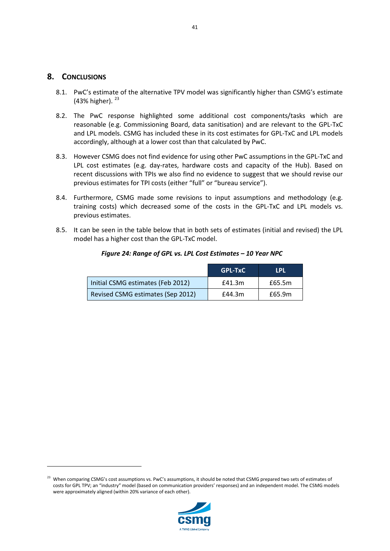# <span id="page-40-0"></span>**8. CONCLUSIONS**

**.** 

- 8.1. PwC's estimate of the alternative TPV model was significantly higher than CSMG's estimate (43% higher).  $23$
- 8.2. The PwC response highlighted some additional cost components/tasks which are reasonable (e.g. Commissioning Board, data sanitisation) and are relevant to the GPL-TxC and LPL models. CSMG has included these in its cost estimates for GPL-TxC and LPL models accordingly, although at a lower cost than that calculated by PwC.
- 8.3. However CSMG does not find evidence for using other PwC assumptions in the GPL-TxC and LPL cost estimates (e.g. day-rates, hardware costs and capacity of the Hub). Based on recent discussions with TPIs we also find no evidence to suggest that we should revise our previous estimates for TPI costs (either "full" or "bureau service").
- 8.4. Furthermore, CSMG made some revisions to input assumptions and methodology (e.g. training costs) which decreased some of the costs in the GPL-TxC and LPL models vs. previous estimates.
- 8.5. It can be seen in the table below that in both sets of estimates (initial and revised) the LPL model has a higher cost than the GPL-TxC model.

|                                   | <b>GPL-TxC</b> | <b>LPL</b> |
|-----------------------------------|----------------|------------|
| Initial CSMG estimates (Feb 2012) | £41.3m         | £65.5m     |
| Revised CSMG estimates (Sep 2012) | £44.3m         | £65.9m     |

#### *Figure 24: Range of GPL vs. LPL Cost Estimates – 10 Year NPC*



<span id="page-40-1"></span><sup>&</sup>lt;sup>23</sup> When comparing CSMG's cost assumptions vs. PwC's assumptions, it should be noted that CSMG prepared two sets of estimates of costs for GPL TPV; an "industry" model (based on communication providers' responses) and an independent model. The CSMG models were approximately aligned (within 20% variance of each other).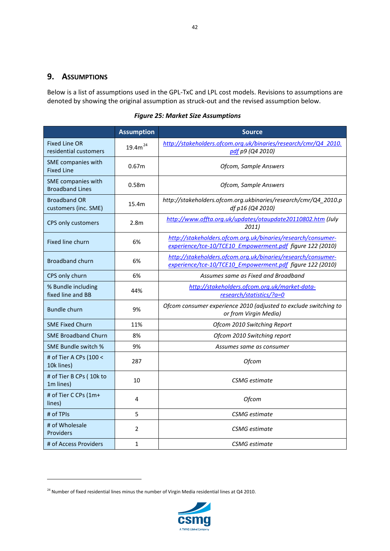# <span id="page-41-0"></span>**9. ASSUMPTIONS**

Below is a list of assumptions used in the GPL-TxC and LPL cost models. Revisions to assumptions are denoted by showing the original assumption as struck-out and the revised assumption below.

*Figure 25: Market Size Assumptions*

|                                               | <b>Assumption</b> | <b>Source</b>                                                                                                             |
|-----------------------------------------------|-------------------|---------------------------------------------------------------------------------------------------------------------------|
| <b>Fixed Line OR</b><br>residential customers | $19.4m^{24}$      | http://stakeholders.ofcom.org.uk/binaries/research/cmr/Q4 2010.<br>pdf p9 (Q4 2010)                                       |
| SME companies with<br><b>Fixed Line</b>       | 0.67 <sub>m</sub> | Ofcom, Sample Answers                                                                                                     |
| SME companies with<br><b>Broadband Lines</b>  | 0.58 <sub>m</sub> | Ofcom, Sample Answers                                                                                                     |
| <b>Broadband OR</b><br>customers (inc. SME)   | 15.4m             | http://stakeholders.ofcom.org.ukbinaries/research/cmr/Q4_2010.p<br>df p16 (Q4 2010)                                       |
| CPS only customers                            | 2.8 <sub>m</sub>  | http://www.offta.org.uk/updates/otaupdate20110802.htm (July<br>2011)                                                      |
| Fixed line churn                              | 6%                | http://stakeholders.ofcom.org.uk/binaries/research/consumer-<br>experience/tce-10/TCE10 Empowerment.pdf figure 122 (2010) |
| <b>Broadband churn</b>                        | 6%                | http://stakeholders.ofcom.org.uk/binaries/research/consumer-<br>experience/tce-10/TCE10 Empowerment.pdf figure 122 (2010) |
| CPS only churn                                | 6%                | Assumes same as Fixed and Broadband                                                                                       |
| % Bundle including<br>fixed line and BB       | 44%               | http://stakeholders.ofcom.org.uk/market-data-<br>research/statistics/?a=0                                                 |
| <b>Bundle churn</b>                           | 9%                | Ofcom consumer experience 2010 (adjusted to exclude switching to<br>or from Virgin Media)                                 |
| <b>SME Fixed Churn</b>                        | 11%               | Ofcom 2010 Switching Report                                                                                               |
| <b>SME Broadband Churn</b>                    | 8%                | Ofcom 2010 Switching report                                                                                               |
| SME Bundle switch %                           | 9%                | Assumes same as consumer                                                                                                  |
| # of Tier A CPs (100 <<br>10k lines)          | 287               | <b>Ofcom</b>                                                                                                              |
| # of Tier B CPs (10k to<br>1m lines)          | 10                | CSMG estimate                                                                                                             |
| # of Tier C CPs (1m+<br>lines)                | 4                 | <b>Ofcom</b>                                                                                                              |
| # of TPIs                                     | 5                 | <b>CSMG</b> estimate                                                                                                      |
| # of Wholesale<br>Providers                   | $\overline{2}$    | <b>CSMG</b> estimate                                                                                                      |
| # of Access Providers                         | $\mathbf{1}$      | <b>CSMG</b> estimate                                                                                                      |



<span id="page-41-1"></span> $^{24}$  Number of fixed residential lines minus the number of Virgin Media residential lines at Q4 2010.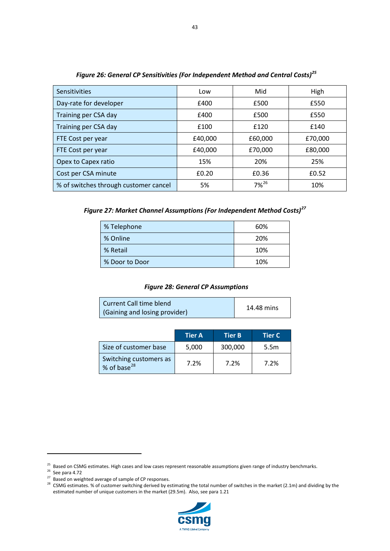| Sensitivities                         | Low     | Mid        | High    |
|---------------------------------------|---------|------------|---------|
| Day-rate for developer                | £400    | £500       | £550    |
| Training per CSA day                  | £400    | £500       | £550    |
| Training per CSA day                  | £100    | £120       | £140    |
| FTE Cost per year                     | £40,000 | £60,000    | £70,000 |
| FTE Cost per year                     | £40,000 | £70,000    | £80,000 |
| Opex to Capex ratio                   | 15%     | 20%        | 25%     |
| Cost per CSA minute                   | £0.20   | £0.36      | £0.52   |
| % of switches through customer cancel | 5%      | $7\%^{26}$ | 10%     |

*Figure 26: General CP Sensitivities (For Independent Method and Central Costs)[25](#page-42-0)*

*Figure 27: Market Channel Assumptions (For Independent Method Costs)[27](#page-42-2)*

| % Telephone    | 60% |
|----------------|-----|
| % Online       | 20% |
| % Retail       | 10% |
| % Door to Door | 10% |

#### *Figure 28: General CP Assumptions*

| Current Call time blend       | 14.48 mins |
|-------------------------------|------------|
| (Gaining and losing provider) |            |

|                                                   | <b>Tier A</b> | <b>Tier B</b> | <b>Tier C</b>    |
|---------------------------------------------------|---------------|---------------|------------------|
| Size of customer base                             | 5,000         | 300,000       | 5.5 <sub>m</sub> |
| Switching customers as<br>% of base <sup>28</sup> | 7.2%          | 7.2%          | 7.2%             |



<span id="page-42-1"></span><span id="page-42-0"></span><sup>&</sup>lt;sup>25</sup> Based on CSMG estimates. High cases and low cases represent reasonable assumptions given range of industry benchmarks.<br><sup>26</sup> See para 4.72<br><sup>27</sup> Based on weighted average of sample of CP responses.

<span id="page-42-3"></span><span id="page-42-2"></span><sup>&</sup>lt;sup>28</sup> CSMG estimates. % of customer switching derived by estimating the total number of switches in the market (2.1m) and dividing by the estimated number of unique customers in the market (29.5m). Also, see para 1.21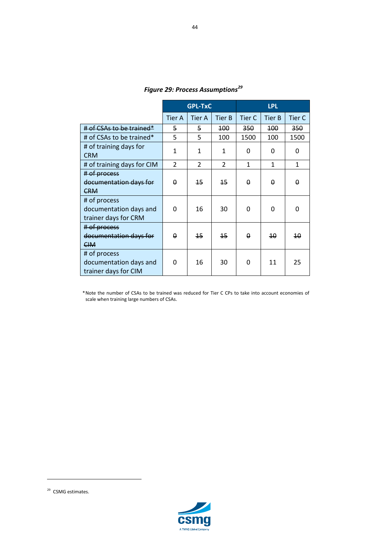|                                                                | <b>GPL-TxC</b> |                 |                  | <b>LPL</b>       |                  |           |  |
|----------------------------------------------------------------|----------------|-----------------|------------------|------------------|------------------|-----------|--|
|                                                                | <b>Tier A</b>  | <b>Tier A</b>   | <b>Tier B</b>    | Tier C           | <b>Tier B</b>    | Tier C    |  |
| $#$ of CSAs to be trained*                                     | 5              | 5               | 100 <sub>1</sub> | 350 <sub>2</sub> | 100 <sub>1</sub> | 350       |  |
| # of CSAs to be trained*                                       | 5              | 5               | 100              | 1500             | 100              | 1500      |  |
| # of training days for<br><b>CRM</b>                           | 1              | 1               | 1                | 0                | 0                | 0         |  |
| # of training days for CIM                                     | $\mathfrak{p}$ | $\mathcal{P}$   | $\overline{2}$   | 1                | 1                | 1         |  |
| # of process<br>documentation days for<br><b>CRM</b>           | $\theta$       | 15 <sub>1</sub> | 15               | $\Omega$         | 0                | $\Omega$  |  |
| # of process<br>documentation days and<br>trainer days for CRM | 0              | 16              | 30               | $\Omega$         | 0                | $\Omega$  |  |
| # of process<br>documentation days for<br><b>CIM</b>           | 0              | 15 <sub>1</sub> | 15               | $\Omega$         | 40               | $4\theta$ |  |
| # of process<br>documentation days and<br>trainer days for CIM | $\Omega$       | 16              | 30               | O                | 11               | 25        |  |

*Figure 29: Process Assumptions[29](#page-43-0)*

\*Note the number of CSAs to be trained was reduced for Tier C CPs to take into account economies of scale when training large numbers of CSAs.



<span id="page-43-0"></span><sup>&</sup>lt;sup>29</sup> CSMG estimates.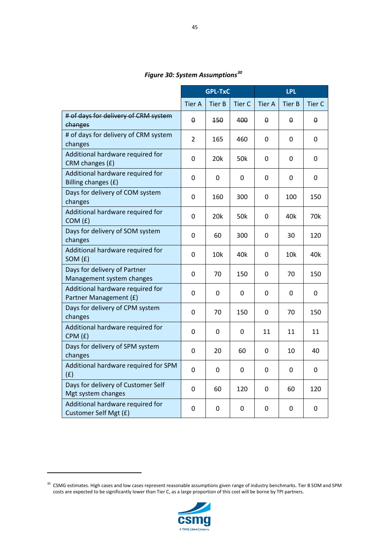# *Figure 30: System Assumptions[30](#page-44-0)*

|                                                            | <b>GPL-TxC</b> |               |               | <b>LPL</b>    |               |               |
|------------------------------------------------------------|----------------|---------------|---------------|---------------|---------------|---------------|
|                                                            | <b>Tier A</b>  | <b>Tier B</b> | <b>Tier C</b> | <b>Tier A</b> | <b>Tier B</b> | <b>Tier C</b> |
| # of days for delivery of CRM system<br>changes            | θ              | 450           | 400           | θ             | θ             | θ             |
| # of days for delivery of CRM system<br>changes            | $\overline{2}$ | 165           | 460           | 0             | 0             | 0             |
| Additional hardware required for<br>CRM changes (£)        | 0              | 20k           | 50k           | 0             | 0             | 0             |
| Additional hardware required for<br>Billing changes (£)    | 0              | 0             | 0             | 0             | 0             | 0             |
| Days for delivery of COM system<br>changes                 | 0              | 160           | 300           | 0             | 100           | 150           |
| Additional hardware required for<br>COM(f)                 | 0              | 20k           | 50k           | 0             | 40k           | 70k           |
| Days for delivery of SOM system<br>changes                 | 0              | 60            | 300           | 0             | 30            | 120           |
| Additional hardware required for<br>SOM (£)                | 0              | 10k           | 40k           | 0             | 10k           | 40k           |
| Days for delivery of Partner<br>Management system changes  | 0              | 70            | 150           | 0             | 70            | 150           |
| Additional hardware required for<br>Partner Management (£) | 0              | 0             | 0             | 0             | 0             | 0             |
| Days for delivery of CPM system<br>changes                 | 0              | 70            | 150           | 0             | 70            | 150           |
| Additional hardware required for<br>CPM(f)                 | 0              | 0             | 0             | 11            | 11            | 11            |
| Days for delivery of SPM system<br>changes                 | 0              | 20            | 60            | 0             | 10            | 40            |
| Additional hardware required for SPM<br>(f)                | 0              | 0             | 0             | 0             | 0             | 0             |
| Days for delivery of Customer Self<br>Mgt system changes   | 0              | 60            | 120           | 0             | 60            | 120           |
| Additional hardware required for<br>Customer Self Mgt (£)  | 0              | 0             | 0             | 0             | 0             | 0             |



<span id="page-44-0"></span> $30$  CSMG estimates. High cases and low cases represent reasonable assumptions given range of industry benchmarks. Tier B SOM and SPM costs are expected to be significantly lower than Tier C, as a large proportion of this cost will be borne by TPI partners.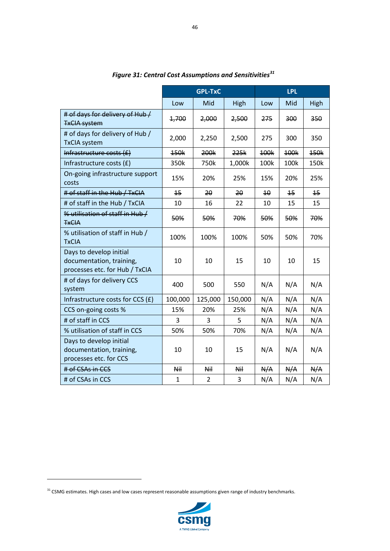|                                                                                       | <b>GPL-TxC</b>  |                |             | <b>LPL</b> |                 |      |
|---------------------------------------------------------------------------------------|-----------------|----------------|-------------|------------|-----------------|------|
|                                                                                       | Low             | Mid            | <b>High</b> | Low        | Mid             | High |
| # of days for delivery of Hub/<br><b>TxCIA system</b>                                 | 1,700           | 2,000          | 2,500       | 275        | 300             | 350  |
| # of days for delivery of Hub /<br><b>TxCIA</b> system                                | 2,000           | 2,250          | 2,500       | 275        | 300             | 350  |
| Infrastructure costs $(E)$                                                            | 150k            | 200k           | 225k        | 100k       | 100k            | 150k |
| Infrastructure costs (£)                                                              | 350k            | 750k           | 1,000k      | 100k       | 100k            | 150k |
| On-going infrastructure support<br>costs                                              | 15%             | 20%            | 25%         | 15%        | 20%             | 25%  |
| # of staff in the Hub / TxCIA                                                         | $\overline{45}$ | 20             | $20 \,$     | $4\theta$  | $\overline{45}$ | 15   |
| # of staff in the Hub / TxCIA                                                         | 10              | 16             | 22          | 10         | 15              | 15   |
| % utilisation of staff in Hub /<br><b>TxCIA</b>                                       | 50%             | 50%            | 70%         | 50%        | 50%             | 70%  |
| % utilisation of staff in Hub /<br><b>TxCIA</b>                                       | 100%            | 100%           | 100%        | 50%        | 50%             | 70%  |
| Days to develop initial<br>documentation, training,<br>processes etc. for Hub / TxCIA | 10              | 10             | 15          | 10         | 10              | 15   |
| # of days for delivery CCS<br>system                                                  | 400             | 500            | 550         | N/A        | N/A             | N/A  |
| Infrastructure costs for CCS (£)                                                      | 100,000         | 125,000        | 150,000     | N/A        | N/A             | N/A  |
| CCS on-going costs %                                                                  | 15%             | 20%            | 25%         | N/A        | N/A             | N/A  |
| # of staff in CCS                                                                     | 3               | 3              | 5           | N/A        | N/A             | N/A  |
| % utilisation of staff in CCS                                                         | 50%             | 50%            | 70%         | N/A        | N/A             | N/A  |
| Days to develop initial<br>documentation, training,<br>processes etc. for CCS         | 10              | 10             | 15          | N/A        | N/A             | N/A  |
| # of CSAs in CCS                                                                      | <b>Nil</b>      | <b>Nil</b>     | Nil         | N/A        | N/A             | N/A  |
| # of CSAs in CCS                                                                      | $\mathbf{1}$    | $\overline{2}$ | 3           | N/A        | N/A             | N/A  |

*Figure 31: Central Cost Assumptions and Sensitivities[31](#page-45-0)*



<span id="page-45-0"></span> $31$  CSMG estimates. High cases and low cases represent reasonable assumptions given range of industry benchmarks.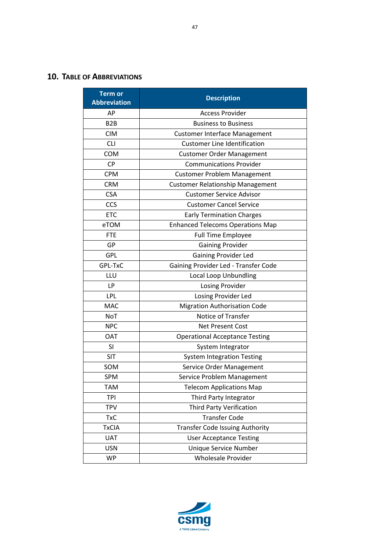<span id="page-46-0"></span>

| <b>Term or</b><br><b>Abbreviation</b> | <b>Description</b>                      |  |  |  |
|---------------------------------------|-----------------------------------------|--|--|--|
| AP                                    | <b>Access Provider</b>                  |  |  |  |
| B <sub>2</sub> B                      | <b>Business to Business</b>             |  |  |  |
| <b>CIM</b>                            | <b>Customer Interface Management</b>    |  |  |  |
| <b>CLI</b>                            | <b>Customer Line Identification</b>     |  |  |  |
| <b>COM</b>                            | <b>Customer Order Management</b>        |  |  |  |
| <b>CP</b>                             | <b>Communications Provider</b>          |  |  |  |
| <b>CPM</b>                            | <b>Customer Problem Management</b>      |  |  |  |
| <b>CRM</b>                            | <b>Customer Relationship Management</b> |  |  |  |
| <b>CSA</b>                            | <b>Customer Service Advisor</b>         |  |  |  |
| <b>CCS</b>                            | <b>Customer Cancel Service</b>          |  |  |  |
| <b>ETC</b>                            | <b>Early Termination Charges</b>        |  |  |  |
| eTOM                                  | <b>Enhanced Telecoms Operations Map</b> |  |  |  |
| <b>FTE</b>                            | <b>Full Time Employee</b>               |  |  |  |
| GP                                    | <b>Gaining Provider</b>                 |  |  |  |
| <b>GPL</b>                            | <b>Gaining Provider Led</b>             |  |  |  |
| GPL-TxC                               | Gaining Provider Led - Transfer Code    |  |  |  |
| LLU                                   | <b>Local Loop Unbundling</b>            |  |  |  |
| LP                                    | Losing Provider                         |  |  |  |
| <b>LPL</b>                            | Losing Provider Led                     |  |  |  |
| <b>MAC</b>                            | <b>Migration Authorisation Code</b>     |  |  |  |
| NoT                                   | Notice of Transfer                      |  |  |  |
| <b>NPC</b>                            | <b>Net Present Cost</b>                 |  |  |  |
| <b>OAT</b>                            | <b>Operational Acceptance Testing</b>   |  |  |  |
| <b>SI</b>                             | System Integrator                       |  |  |  |
| <b>SIT</b>                            | <b>System Integration Testing</b>       |  |  |  |
| SOM                                   | Service Order Management                |  |  |  |
| <b>SPM</b>                            | Service Problem Management              |  |  |  |
| <b>TAM</b>                            | <b>Telecom Applications Map</b>         |  |  |  |
| <b>TPI</b>                            | Third Party Integrator                  |  |  |  |
| <b>TPV</b>                            | <b>Third Party Verification</b>         |  |  |  |
| <b>TxC</b>                            | <b>Transfer Code</b>                    |  |  |  |
| <b>TxCIA</b>                          | <b>Transfer Code Issuing Authority</b>  |  |  |  |
| <b>UAT</b>                            | <b>User Acceptance Testing</b>          |  |  |  |
| <b>USN</b>                            | Unique Service Number                   |  |  |  |
| <b>WP</b>                             | <b>Wholesale Provider</b>               |  |  |  |